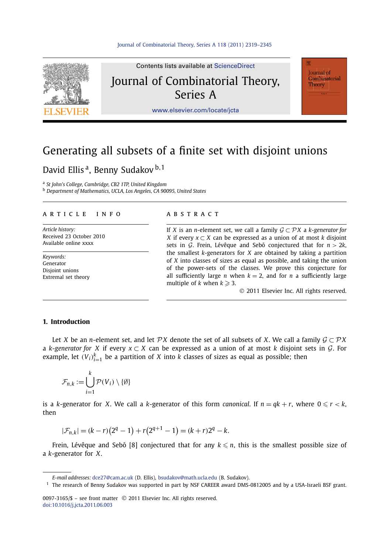

Contents lists available at [ScienceDirect](http://www.ScienceDirect.com/) Journal of Combinatorial Theory, Series A

Journal of Combinatorial Theory

[www.elsevier.com/locate/jcta](http://www.elsevier.com/locate/jcta)

# Generating all subsets of a finite set with disjoint unions

## David Ellis a, Benny Sudakov <sup>b</sup>*,*<sup>1</sup>

<sup>a</sup> *St John's College, Cambridge, CB2 1TP, United Kingdom* <sup>b</sup> *Department of Mathematics, UCLA, Los Angeles, CA 90095, United States*

#### article info abstract

*Article history:* Received 23 October 2010 Available online xxxx

*Keywords:* Generator Disjoint unions Extremal set theory

If *X* is an *n*-element set, we call a family  $G \subset \mathcal{P}X$  a *k*-generator for *X* if every *x* ⊂ *X* can be expressed as a union of at most *k* disjoint sets in  $G$ . Frein, Lévêque and Sebő conjectured that for  $n > 2k$ , the smallest *k*-generators for *X* are obtained by taking a partition of *X* into classes of sizes as equal as possible, and taking the union of the power-sets of the classes. We prove this conjecture for all sufficiently large *n* when  $k = 2$ , and for *n* a sufficiently large multiple of *k* when  $k \geqslant 3$ .

© 2011 Elsevier Inc. All rights reserved.

#### **1. Introduction**

Let *X* be an *n*-element set, and let  $\mathcal{P}X$  denote the set of all subsets of *X*. We call a family  $\mathcal{G} \subset \mathcal{P}X$ <sup>a</sup> *<sup>k</sup>*-*generator for X* if every *<sup>x</sup>* ⊂ *<sup>X</sup>* can be expressed as a union of at most *<sup>k</sup>* disjoint sets in G. For example, let  $(V_i)_{i=1}^k$  be a partition of *X* into *k* classes of sizes as equal as possible; then

$$
\mathcal{F}_{n,k} := \bigcup_{i=1}^k \mathcal{P}(V_i) \setminus \{\emptyset\}
$$

is a *k*-generator for *X*. We call a *k*-generator of this form *canonical*. If  $n = qk + r$ , where  $0 \le r < k$ , then

$$
|\mathcal{F}_{n,k}| = (k-r)(2^q - 1) + r(2^{q+1} - 1) = (k+r)2^q - k.
$$

Frein, Lévêque and Sebő [8] conjectured that for any  $k \leq n$ , this is the smallest possible size of a *k*-generator for *X*.

*E-mail addresses:* [dce27@cam.ac.uk](mailto:dce27@cam.ac.uk) (D. Ellis), [bsudakov@math.ucla.edu](mailto:bsudakov@math.ucla.edu) (B. Sudakov).

<sup>&</sup>lt;sup>1</sup> The research of Benny Sudakov was supported in part by NSF CAREER award DMS-0812005 and by a USA-Israeli BSF grant.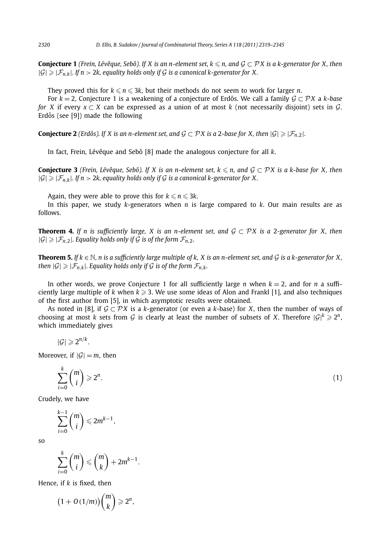**Conjecture 1** (Frein, Lévêque, Sebő). If *X* is an n-element set,  $k \le n$ , and  $\mathcal{G} \subset \mathcal{P}X$  is a k-generator for *X*, then  $|G| \geq |\mathcal{F}_{n,k}|$ . If  $n > 2k$ , equality holds only if G is a canonical k-generator for X.

They proved this for  $k \leqslant n \leqslant 3k$ , but their methods do not seem to work for larger *n*.

For *<sup>k</sup>* = 2, Conjecture 1 is a weakening of a conjecture of Erdos. We call a family ˝ G ⊂ P *<sup>X</sup>* <sup>a</sup> *<sup>k</sup>*-*base for X* if every  $x \subset X$  can be expressed as a union of at most *k* (not necessarily disjoint) sets in G. Erdős (see  $[9]$ ) made the following

**Conjecture 2** *(Erdős). If X is an n-element set, and*  $G \subset \mathcal{P}X$  *is a* 2*-base for X, then*  $|G| \geq |F_n|$ ,  $2$ *.* 

In fact, Frein, Lévêque and Sebő [8] made the analogous conjecture for all *k*.

**Conjecture 3** *(Frein, Lévêque, Sebő).* If *X* is an n-element set,  $k \le n$ , and  $\mathcal{G} \subset \mathcal{P}X$  is a k-base for *X*, then  $|G| \geq |\mathcal{F}_{n,k}|$ . If  $n > 2k$ , equality holds only if G is a canonical k-generator for X.

Again, they were able to prove this for  $k \leqslant n \leqslant 3k$ .

In this paper, we study *k*-generators when *n* is large compared to *k*. Our main results are as follows.

**Theorem 4.** *If n is sufficiently large, X is an n-element set, and*  $G \subset \mathcal{P}X$  *is a* 2*-generator for X, then*  $|\mathcal{G}| \geq |\mathcal{F}_{n,2}|$ *. Equality holds only if*  $\mathcal{G}$  *is of the form*  $\mathcal{F}_{n,2}$ *.* 

**Theorem 5.** If  $k \in \mathbb{N}$ , n is a sufficiently large multiple of k, X is an n-element set, and G is a k-generator for X, *then*  $|G| \geq |\mathcal{F}_{n,k}|$ *. Equality holds only if* G *is of the form*  $\mathcal{F}_{n,k}$ *.* 

In other words, we prove Conjecture 1 for all sufficiently large *n* when  $k = 2$ , and for *n* a sufficiently large multiple of *k* when  $k \ge 3$ . We use some ideas of Alon and Frankl [1], and also techniques of the first author from [5], in which asymptotic results were obtained.

As noted in [8], if  $\mathcal{G} \subset \mathcal{P}X$  is a *k*-generator (or even a *k*-base) for *X*, then the number of ways of choosing at most *k* sets from  $G$  is clearly at least the number of subsets of *X*. Therefore  $|G|^k \geq 2^n$ , which immediately gives

$$
|\mathcal{G}| \geqslant 2^{n/k}.
$$

Moreover, if  $|\mathcal{G}| = m$ , then

$$
\sum_{i=0}^{k} \binom{m}{i} \geqslant 2^n. \tag{1}
$$

Crudely, we have

$$
\sum_{i=0}^{k-1} {m \choose i} \leq 2m^{k-1},
$$

so

$$
\sum_{i=0}^k \binom{m}{i} \leqslant \binom{m}{k} + 2m^{k-1}.
$$

Hence, if *k* is fixed, then

$$
(1+O(1/m)\binom{m}{k} \geqslant 2^n,
$$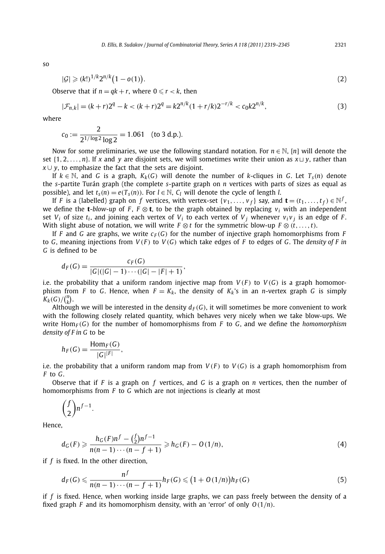so

$$
|\mathcal{G}| \geq (k!)^{1/k} 2^{n/k} (1 - o(1)).
$$
\n(2)

Observe that if  $n = qk + r$ , where  $0 \le r < k$ , then

$$
|\mathcal{F}_{n,k}| = (k+r)2^q - k < (k+r)2^q = k2^{n/k}(1+r/k)2^{-r/k} < c_0 k2^{n/k},\tag{3}
$$

where

$$
c_0 := \frac{2}{2^{1/\log 2} \log 2} = 1.061 \quad \text{(to 3 d.p.).}
$$

Now for some preliminaries, we use the following standard notation. For *n* ∈ N, [*n*] will denote the set  $\{1, 2, \ldots, n\}$ . If x and y are disjoint sets, we will sometimes write their union as  $x \sqcup y$ , rather than *x* ∪ *y*, to emphasize the fact that the sets are disjoint.

If  $k \in \mathbb{N}$ , and *G* is a graph,  $K_k$ (*G*) will denote the number of *k*-cliques in *G*. Let  $T_s(n)$  denote the *s*-partite Turán graph (the complete *s*-partite graph on *n* vertices with parts of sizes as equal as possible), and let  $t_s(n) = e(T_s(n))$ . For  $l \in \mathbb{N}$ ,  $C_l$  will denote the cycle of length *l*.

If *F* is a (labelled) graph on *f* vertices, with vertex-set  $\{v_1, \ldots, v_f\}$  say, and  $\mathbf{t} = (t_1, \ldots, t_f) \in \mathbb{N}^f$ , we define the **t**-*blow-up* of *F*,  $F \otimes t$ , to be the graph obtained by replacing  $v_i$  with an independent set  $V_i$  of size  $t_i$ , and joining each vertex of  $V_i$  to each vertex of  $V_i$  whenever  $v_i v_j$  is an edge of *F*. With slight abuse of notation, we will write  $F \otimes t$  for the symmetric blow-up  $F \otimes (t, \ldots, t)$ .

If *F* and *G* are graphs, we write  $c_F(G)$  for the number of injective graph homomorphisms from *F* to *G*, meaning injections from  $V(F)$  to  $V(G)$  which take edges of *F* to edges of *G*. The *density* of *F* in *G* is defined to be

$$
d_F(G) = \frac{c_F(G)}{|G|(|G|-1)\cdots(|G|-|F|+1)},
$$

i.e. the probability that a uniform random injective map from  $V(F)$  to  $V(G)$  is a graph homomorphism from *F* to *G*. Hence, when  $F = K_k$ , the density of  $K_k$ 's in an *n*-vertex graph *G* is simply  $K_k(G)/(n_k^n)$ .

Although we will be interested in the density  $d_F(G)$ , it will sometimes be more convenient to work with the following closely related quantity, which behaves very nicely when we take blow-ups. We write  $Hom_F(G)$  for the number of homomorphisms from *F* to *G*, and we define the *homomorphism density of F in G* to be

$$
h_F(G) = \frac{\text{Hom}_F(G)}{|G|^{|F|}},
$$

i.e. the probability that a uniform random map from  $V(F)$  to  $V(G)$  is a graph homomorphism from *F* to *G*.

Observe that if *F* is a graph on *f* vertices, and *G* is a graph on *n* vertices, then the number of homomorphisms from *F* to *G* which are not injections is clearly at most

$$
\binom{f}{2} n^{f-1}.
$$

Hence,

$$
d_G(F) \geqslant \frac{h_G(F)n^f - {f \choose 2}n^{f-1}}{n(n-1)\cdots(n-f+1)} \geqslant h_G(F) - O(1/n),\tag{4}
$$

if *f* is fixed. In the other direction,

$$
d_F(G) \leqslant \frac{n^f}{n(n-1)\cdots(n-f+1)} h_F(G) \leqslant (1+O(1/n)) h_F(G)
$$
\n(5)

if *f* is fixed. Hence, when working inside large graphs, we can pass freely between the density of a fixed graph *F* and its homomorphism density, with an 'error' of only *O(*1*/n)*.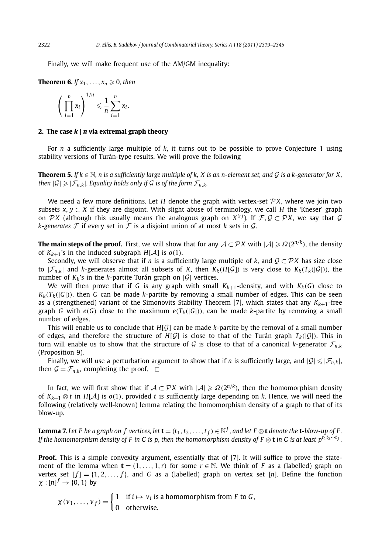Finally, we will make frequent use of the AM/GM inequality:

**Theorem 6.** *If*  $x_1$ , ...,  $x_n \ge 0$ , then

$$
\left(\prod_{i=1}^n x_i\right)^{1/n} \leqslant \frac{1}{n}\sum_{i=1}^n x_i.
$$

#### **2. The case** *k* **|** *n* **via extremal graph theory**

For *n* a sufficiently large multiple of *k*, it turns out to be possible to prove Conjecture 1 using stability versions of Turán-type results. We will prove the following

**Theorem 5.** *If k* <sup>∈</sup> <sup>N</sup>*, n is a sufficiently large multiple of k, X is an n-element set, and* <sup>G</sup> *is a k-generator for X, then*  $|G| \geq |\mathcal{F}_{n,k}|$ *. Equality holds only if* G *is of the form*  $\mathcal{F}_{n,k}$ *.* 

We need a few more definitions. Let *H* denote the graph with vertex-set  $\mathcal{P}X$ , where we join two subsets  $x, y \subset X$  if they are disjoint. With slight abuse of terminology, we call *H* the 'Kneser' graph on  $\mathcal{P}X$  (although this usually means the analogous graph on  $X^{(r)}$ ). If  $\mathcal{F},\mathcal{G}\subset\mathcal{P}X$ , we say that  $\mathcal{G}$ *k*-generates  $\mathcal F$  if every set in  $\mathcal F$  is a disjoint union of at most *k* sets in  $\mathcal G$ .

**The main steps of the proof.** First, we will show that for any  $A \subset \mathcal{PX}$  with  $|A| \geq \Omega(2^{n/k})$ , the density of  $K_{k+1}$ 's in the induced subgraph  $H[A]$  is  $o(1)$ .

Secondly, we will observe that if *n* is a sufficiently large multiple of *k*, and  $G \subset \mathcal{P}X$  has size close to  $|\mathcal{F}_{n,k}|$  and *k*-generates almost all subsets of *X*, then  $K_k(H[\mathcal{G}])$  is very close to  $K_k(T_k([\mathcal{G}]))$ , the number of  $K_k$ 's in the *k*-partite Turán graph on  $|G|$  vertices.

We will then prove that if *G* is any graph with small  $K_{k+1}$ -density, and with  $K_k(G)$  close to  $K_k(T_k([G]))$ , then *G* can be made *k*-partite by removing a small number of edges. This can be seen as a (strengthened) variant of the Simonovits Stability Theorem [7], which states that any  $K_{k+1}$ -free graph *G* with  $e(G)$  close to the maximum  $e(T_k(|G|))$ , can be made *k*-partite by removing a small number of edges.

This will enable us to conclude that  $H[G]$  can be made *k*-partite by the removal of a small number of edges, and therefore the structure of  $H[G]$  is close to that of the Turán graph  $T_k(|G|)$ . This in turn will enable us to show that the structure of G is close to that of a canonical *k*-generator  $\mathcal{F}_{n,k}$ (Proposition 9).

Finally, we will use a perturbation argument to show that if *n* is sufficiently large, and  $|\mathcal{G}| \leq |\mathcal{F}_{n,k}|$ , then  $G = \mathcal{F}_{n,k}$ , completing the proof.  $\Box$ 

In fact, we will first show that if  $A \subset \mathcal{P}X$  with  $|A| \geq \Omega(2^{n/k})$ , then the homomorphism density of *Kk*+<sup>1</sup> ⊗ *<sup>t</sup>* in *<sup>H</sup>*[A] is *<sup>o</sup>(*1*)*, provided *<sup>t</sup>* is sufficiently large depending on *<sup>k</sup>*. Hence, we will need the following (relatively well-known) lemma relating the homomorphism density of a graph to that of its blow-up.

**Lemma 7.** Let F be a graph on f vertices, let  $\mathbf{t} = (t_1, t_2, \dots, t_f) \in \mathbb{N}^f$ , and let F  $\otimes$  **t** denote the **t**-blow-up of F. *If the homomorphism density of F in G is p, then the homomorphism density of F* ⊗ **t** *in G is at least p*<sup>*t*<sub>1</sub>*t*<sub>2</sub>···*t*</sup>*f*.

**Proof.** This is a simple convexity argument, essentially that of [7]. It will suffice to prove the statement of the lemma when  $\mathbf{t} = (1, \ldots, 1, r)$  for some  $r \in \mathbb{N}$ . We think of *F* as a (labelled) graph on vertex set  $[f] = \{1, 2, ..., f\}$ , and *G* as a (labelled) graph on vertex set [*n*]. Define the function  $\chi : [n]^f \rightarrow \{0, 1\}$  by

 $\chi(\nu_1, \ldots, \nu_f) = \begin{cases} 1 & \text{if } i \mapsto \nu_i \text{ is a homomorphism from } F \text{ to } G, \\ 0 & \text{otherwise.} \end{cases}$ 0 otherwise.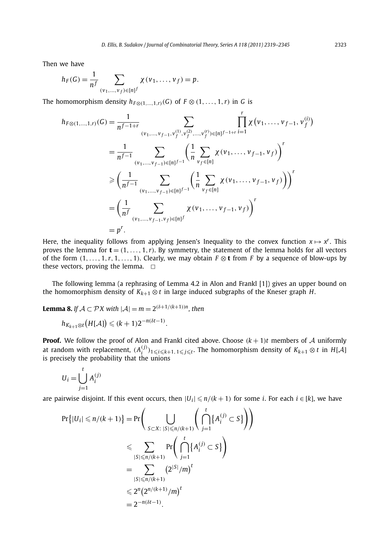Then we have

$$
h_F(G) = \frac{1}{n^f} \sum_{(\nu_1, ..., \nu_f) \in [n]^f} \chi(\nu_1, ..., \nu_f) = p.
$$

The homomorphism density  $h_{F\otimes (1,1)}$   $h_{F\otimes (1,1)}$  (*G*) of  $F\otimes (1,1)$  *t*, *f* is

$$
h_{F\otimes(1,\ldots,1,r)}(G) = \frac{1}{n^{f-1+r}} \sum_{(v_1,\ldots,v_{f-1},v_f^{(1)},v_f^{(2)},\ldots,v_f^{(r)})\in[n]^{f-1+r}} \prod_{i=1}^r \chi(v_1,\ldots,v_{f-1},v_f^{(i)})
$$
  
\n
$$
= \frac{1}{n^{f-1}} \sum_{(v_1,\ldots,v_{f-1})\in[n]^{f-1}} \left(\frac{1}{n} \sum_{v_f\in[n]} \chi(v_1,\ldots,v_{f-1},v_f)\right)^r
$$
  
\n
$$
\geq \left(\frac{1}{n^{f-1}} \sum_{(v_1,\ldots,v_{f-1})\in[n]^{f-1}} \left(\frac{1}{n} \sum_{v_f\in[n]} \chi(v_1,\ldots,v_{f-1},v_f)\right)\right)^r
$$
  
\n
$$
= \left(\frac{1}{n^f} \sum_{(v_1,\ldots,v_{f-1},v_f)\in[n]^f} \chi(v_1,\ldots,v_{f-1},v_f)\right)^r
$$
  
\n
$$
= p^r.
$$

Here, the inequality follows from applying Jensen's Inequality to the convex function  $x \mapsto x^r$ . This proves the lemma for  $\mathbf{t} = (1, \ldots, 1, r)$ . By symmetry, the statement of the lemma holds for all vectors of the form  $(1, \ldots, 1, r, 1, \ldots, 1)$ . Clearly, we may obtain  $F \otimes t$  from *F* by a sequence of blow-ups by these vectors, proving the lemma.  $\Box$ 

The following lemma (a rephrasing of Lemma 4.2 in Alon and Frankl [1]) gives an upper bound on the homomorphism density of  $K_{k+1} \otimes t$  in large induced subgraphs of the Kneser graph *H*.

**Lemma 8.** *If*  $A \subset \mathcal{P}X$  with  $|A| = m = 2^{(\delta+1/(k+1))n}$ , then

$$
h_{K_{k+1}\otimes t}(H[\mathcal{A}])\leqslant (k+1)2^{-n(\delta t-1)}.
$$

**Proof.** We follow the proof of Alon and Frankl cited above. Choose  $(k + 1)t$  members of A uniformly at random with replacement,  $(A_i^{(j)})_{1 \leqslant i \leqslant k+1, 1 \leqslant j \leqslant t}$ . The homomorphism density of  $K_{k+1} \otimes t$  in  $H[\mathcal{A}]$ is precisely the probability that the unions

$$
U_i = \bigcup_{j=1}^t A_i^{(j)}
$$

are pairwise disjoint. If this event occurs, then  $|U_i| \leqslant n/(k+1)$  for some *i*. For each  $i \in [k]$ , we have

$$
\Pr\{|U_i| \le n/(k+1)\} = \Pr\Bigg(\bigcup_{S \subset X: \ |S| \le n/(k+1)} \Bigg(\bigcap_{j=1}^t \{A_i^{(j)} \subset S\}\Bigg)\Bigg) \le \sum_{|S| \le n/(k+1)} \Pr\Bigg(\bigcap_{j=1}^t \{A_i^{(j)} \subset S\}\Bigg) = \sum_{|S| \le n/(k+1)} \bigg(2^{|S|}/m\bigg)^t \le 2^n \big(2^{n/(k+1)}/m\big)^t = 2^{-n(\delta t - 1)}.
$$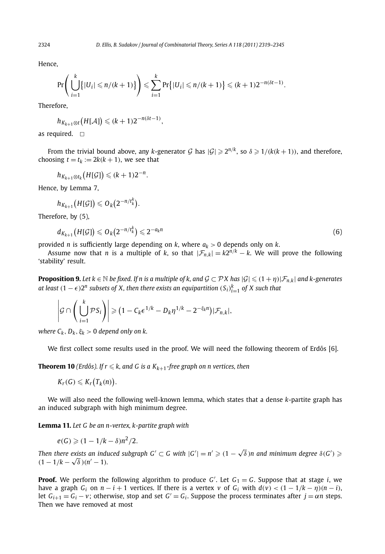Hence,

$$
\Pr\Bigg(\bigcup_{i=1}^k \bigl\{|U_i| \leqslant n/(k+1)\bigr\}\Bigg) \leqslant \sum_{i=1}^k \Pr\bigl\{|U_i| \leqslant n/(k+1)\bigr\} \leqslant (k+1)2^{-n(\delta t-1)}.
$$

Therefore,

$$
h_{K_{k+1}\otimes t}(H[\mathcal{A}])\leq (k+1)2^{-n(\delta t-1)},
$$

as required.  $\Box$ 

From the trivial bound above, any *k*-generator G has  $|G| \ge 2^{n/k}$ , so  $\delta \ge 1/(k(k+1))$ , and therefore, choosing  $t = t_k := 2k(k + 1)$ , we see that

$$
h_{K_{k+1}\otimes t_k}\big(H[\mathcal{G}]\big) \leqslant (k+1)2^{-n}.
$$

Hence, by Lemma 7,

$$
h_{K_{k+1}}\big(H[\mathcal{G}]\big) \leqslant O_k\big(2^{-n/t_k^k}\big).
$$

Therefore, by (5),

$$
d_{K_{k+1}}\big(H[\mathcal{G}]\big) \leqslant O_k\big(2^{-n/t_k^k}\big) \leqslant 2^{-a_k n} \tag{6}
$$

provided *n* is sufficiently large depending on *k*, where *ak >* 0 depends only on *k*.

Assume now that *n* is a multiple of *k*, so that  $|\mathcal{F}_{n,k}| = k2^{n/k} - k$ . We will prove the following 'stability' result.

**Proposition 9.** Let  $k \in \mathbb{N}$  be fixed. If  $n$  is a multiple of  $k$ , and  $\mathcal{G} \subset \mathcal{P}X$  has  $|\mathcal{G}| \leqslant (1 + \eta)|\mathcal{F}_{n,k}|$  and  $k$ -generates *at least*  $(1 − \epsilon)$ *2<sup>n</sup> subsets of X, then there exists an equipartition*  $(S_i)_{i=1}^k$  *of X such that* 

$$
\left|\mathcal{G}\cap\left(\bigcup_{i=1}^k\mathcal{P}\mathcal{S}_i\right)\right|\geqslant(1-C_k\epsilon^{1/k}-D_k\eta^{1/k}-2^{-\xi_k n})|\mathcal{F}_{n,k}|,
$$

*where*  $C_k$ *,*  $D_k$ *,*  $\xi_k > 0$  *depend only on k.* 

We first collect some results used in the proof. We will need the following theorem of Erdős [6].

**Theorem 10** (Erdős). If  $r \leqslant k$ , and G is a  $K_{k+1}$ -free graph on n vertices, then

$$
K_r(G)\leqslant K_r\bigl(T_k(n)\bigr).
$$

We will also need the following well-known lemma, which states that a dense *k*-partite graph has an induced subgraph with high minimum degree.

**Lemma 11.** *Let G be an n-vertex, k-partite graph with*

$$
e(G) \geqslant (1 - 1/k - \delta)n^2/2.
$$

*Then there exists an induced subgraph G'*  $\subset$  *G with*  $|G'| = n' \geqslant (1 - \sqrt{\delta})n$  and minimum degree  $\delta(G') \geqslant$  $(1 - 1/k - \sqrt{\delta})(n' - 1)$ .

**Proof.** We perform the following algorithm to produce *G* . Let *G*<sup>1</sup> = *G*. Suppose that at stage *i*, we have a graph  $G_i$  on  $n - i + 1$  vertices. If there is a vertex  $v$  of  $G_i$  with  $d(v) < (1 - 1/k - \eta)(n - i)$ , let  $G_{i+1} = G_i - v$ ; otherwise, stop and set  $G' = G_i$ . Suppose the process terminates after  $j = \alpha n$  steps. Then we have removed at most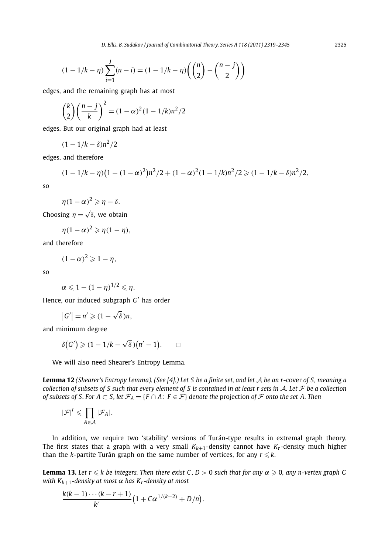$$
(1 - 1/k - \eta) \sum_{i=1}^{j} (n - i) = (1 - 1/k - \eta) \left( \binom{n}{2} - \binom{n - j}{2} \right)
$$

edges, and the remaining graph has at most

$$
\binom{k}{2} \left(\frac{n-j}{k}\right)^2 = (1-\alpha)^2 (1-1/k)n^2/2
$$

edges. But our original graph had at least

$$
(1-1/k-\delta)n^2/2
$$

edges, and therefore

$$
(1-1/k-\eta)\left(1-(1-\alpha)^2\right)n^2/2+(1-\alpha)^2(1-1/k)n^2/2\geq (1-1/k-\delta)n^2/2,
$$

so

$$
\eta(1-\alpha)^2\geqslant \eta-\delta.
$$

Choosing  $\eta = \sqrt{\delta}$ , we obtain

$$
\eta(1-\alpha)^2 \geqslant \eta(1-\eta),
$$

and therefore

 $(1 - \alpha)^2 \geqslant 1 - \eta$ ,

so

$$
\alpha \leqslant 1-(1-\eta)^{1/2}\leqslant \eta.
$$

Hence, our induced subgraph *G'* has order

$$
|G'|=n'\geqslant(1-\sqrt{\delta})n,
$$

and minimum degree

$$
\delta(G')\geqslant (1-1/k-\sqrt{\delta})(n'-1). \qquad \Box
$$

We will also need Shearer's Entropy Lemma.

**Lemma 12** *(Shearer's Entropy Lemma). (See [4].) Let S be a finite set, and let* A *be an r*-cover *of S, meaning a collection of subsets of S such that every element of S is contained in at least r sets in* A*. Let* F *be a collection of subsets of S. For A* ⊂ *S, let*  $\mathcal{F}_A = \{F \cap A: F \in \mathcal{F}\}\$ denote the projection of  $\mathcal F$  onto the set A. Then

$$
|\mathcal{F}|^r \leqslant \prod_{A \in \mathcal{A}} |\mathcal{F}_A|.
$$

In addition, we require two 'stability' versions of Turán-type results in extremal graph theory. The first states that a graph with a very small  $K_{k+1}$ -density cannot have  $K_r$ -density much higher than the  $k$ -partite Turán graph on the same number of vertices, for any  $r\leqslant k.$ 

**Lemma 13.** Let  $r \leq k$  be integers. Then there exist C, D  $> 0$  such that for any  $\alpha \geqslant 0$ , any n-vertex graph G *with K*<sub>k+1</sub>-density at most  $\alpha$  has K<sub>r</sub>-density at most

$$
\frac{k(k-1)\cdots(k-r+1)}{k^r}(1+C\alpha^{1/(k+2)}+D/n).
$$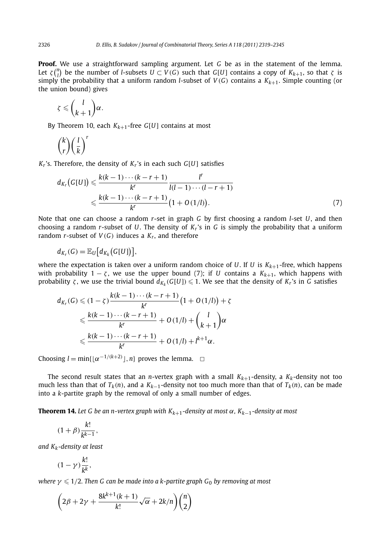**Proof.** We use a straightforward sampling argument. Let *G* be as in the statement of the lemma. Let  $\zeta$ <sup>*n*</sup></sup>) be the number of *l*-subsets  $U \subset V(G)$  such that *G*[*U*] contains a copy of  $K_{k+1}$ , so that  $\zeta$  is simply the probability that a uniform random *l*-subset of  $V(G)$  contains a  $K_{k+1}$ . Simple counting (or the union bound) gives

$$
\zeta \leqslant \binom{l}{k+1}\alpha.
$$

By Theorem 10, each  $K_{k+1}$ -free  $G[U]$  contains at most

$$
\binom{k}{r}\left(\frac{l}{k}\right)^r
$$

*Kr*'s. Therefore, the density of *Kr*'s in each such *G*[*U*] satisfies

$$
d_{K_r}(G[U]) \leq \frac{k(k-1)\cdots(k-r+1)}{k^r} \frac{l^r}{l(l-1)\cdots(l-r+1)}
$$
  
 
$$
\leq \frac{k(k-1)\cdots(k-r+1)}{k^r} (1+O(1/l)).
$$
 (7)

Note that one can choose a random *r*-set in graph *G* by first choosing a random *l*-set *U*, and then choosing a random *r*-subset of *U*. The density of *Kr*'s in *G* is simply the probability that a uniform random *r*-subset of  $V(G)$  induces a  $K_r$ , and therefore

$$
d_{K_r}(G) = \mathbb{E}_U\big[d_{K_k}\big(G[U]\big)\big],
$$

where the expectation is taken over a uniform random choice of *U*. If *U* is  $K_{k+1}$ -free, which happens with probability  $1 - \zeta$ , we use the upper bound (7); if *U* contains a  $K_{k+1}$ , which happens with probability *ζ* , we use the trivial bound  $d_{K_k}(G[U]) \leqslant 1.$  We see that the density of  $K_r$ 's in *G* satisfies

$$
d_{K_r}(G) \leq (1 - \zeta) \frac{k(k - 1) \cdots (k - r + 1)}{k^r} \left(1 + O(1/l)\right) + \zeta
$$
  
\$\leq \frac{k(k - 1) \cdots (k - r + 1)}{k^r} + O(1/l) + \binom{l}{k + 1} \alpha\$  
\$\leq \frac{k(k - 1) \cdots (k - r + 1)}{k^r} + O(1/l) + l^{k+1} \alpha\$.

Choosing  $l = \min\{\lfloor \alpha^{-1/(k+2)} \rfloor, n\}$  proves the lemma.  $\Box$ 

The second result states that an *n*-vertex graph with a small  $K_{k+1}$ -density, a  $K_k$ -density not too much less than that of  $T_k(n)$ , and a  $K_{k-1}$ -density not too much more than that of  $T_k(n)$ , can be made into a *k*-partite graph by the removal of only a small number of edges.

**Theorem 14.** Let G be an n-vertex graph with  $K_{k+1}$ -density at most  $\alpha$ ,  $K_{k-1}$ -density at most

$$
(1+\beta)\frac{k!}{k^{k-1}},
$$

*and Kk-density at least*

$$
(1-\gamma)\frac{k!}{k^k},
$$

 $\text{where } γ ≤ 1/2$ . Then G can be made into a k-partite graph G<sub>0</sub> by removing at most

$$
\bigg(2\beta+2\gamma+\frac{8k^{k+1}(k+1)}{k!}\sqrt{\alpha}+2k/n\bigg)\binom nk
$$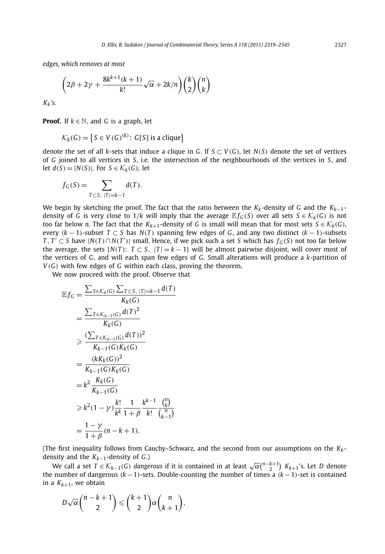*edges, which removes at most*

$$
\left(2\beta+2\gamma+\frac{8k^{k+1}(k+1)}{k!}\sqrt{\alpha}+2k/n\right)\binom{k}{2}\binom{n}{k}
$$

*Kk's.*

**Proof.** If  $k \in \mathbb{N}$ , and *G* is a graph, let

$$
\mathcal{K}_k(G) = \left\{ S \in V(G)^{(k)} : G[S] \text{ is a clique} \right\}
$$

denote the set of all *k*-sets that induce a clique in *G*. If  $S \subset V(G)$ , let  $N(S)$  denote the set of vertices of *G* joined to all vertices in *S*, i.e. the intersection of the neighbourhoods of the vertices in *S*, and let  $d(S) = |N(S)|$ . For  $S \in \mathcal{K}_k(G)$ , let

$$
f_G(S) = \sum_{T \subset S, |T| = k-1} d(T).
$$

We begin by sketching the proof. The fact that the ratio between the *Kk*-density of *G* and the *Kk*−1 density of *G* is very close to 1/*k* will imply that the average  $\mathbb{E} f_G(S)$  over all sets  $S \in \mathcal{K}_k(G)$  is not too far below *n*. The fact that the  $K_{k+1}$ -density of *G* is small will mean that for most sets  $S \in K_k(G)$ , every  $(k-1)$ -subset  $T \subset S$  has  $N(T)$  spanning few edges of *G*, and any two distinct  $(k-1)$ -subsets *T*, *T*' ⊂ *S* have  $|N(T) \cap N(T')|$  small. Hence, if we pick such a set *S* which has  $f_G(S)$  not too far below the average, the sets  $\{N(T): T \subset S, |T| = k - 1\}$  will be almost pairwise disjoint, will cover most of the vertices of *G*, and will each span few edges of *G*. Small alterations will produce a *k*-partition of *V (G)* with few edges of *G* within each class, proving the theorem.

We now proceed with the proof. Observe that

$$
\mathbb{E} f_G = \frac{\sum_{S \in \mathcal{K}_k(G)} \sum_{T \subset S, |T| = k-1} d(T)}{K_k(G)} \\
= \frac{\sum_{T \in \mathcal{K}_{k-1}(G)} d(T)^2}{K_k(G)} \\
\geq \frac{(\sum_{T \in \mathcal{K}_{k-1}(G)} d(T))^2}{K_{k-1}(G)K_k(G)} \\
= \frac{(kK_k(G))^2}{K_{k-1}(G)K_k(G)} \\
= k^2 \frac{K_k(G)}{K_{k-1}(G)} \\
\geq k^2 (1 - \gamma) \frac{k!}{k^k} \frac{1}{1 + \beta} \frac{k^{k-1}}{k!} \frac{\binom{n}{k}}{\binom{n}{k-1}} \\
= \frac{1 - \gamma}{1 + \beta} (n - k + 1).
$$

(The first inequality follows from Cauchy–Schwarz, and the second from our assumptions on the *Kk*density and the *Kk*−1-density of *G*.)

We call a set  $T \in K_{k-1}(G)$  *dangerous* if it is contained in at least  $\sqrt{\alpha} {n-k+1 \choose 2}$   $K_{k+1}$ 's. Let *D* denote the number of dangerous *(k* −1*)*-sets. Double-counting the number of times a *(k* −1*)*-set is contained in a  $K_{k+1}$ , we obtain

$$
D\sqrt{\alpha}\binom{n-k+1}{2}\leqslant \binom{k+1}{2}\alpha\binom{n}{k+1},
$$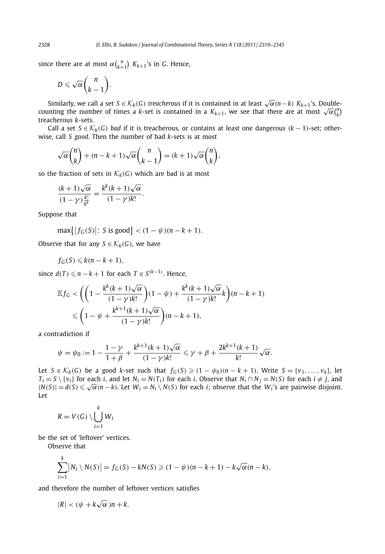since there are at most  $\alpha \binom{n}{k+1}$   $K_{k+1}$ 's in *G*. Hence,

$$
D\leqslant \sqrt{\alpha}\binom{n}{k-1}.
$$

Similarly, we call a set  $S \in K_k(G)$  *treacherous* if it is contained in at least  $\sqrt{\alpha}(n-k) K_{k+1}$ 's. Doublecounting the number of times a *k*-set is contained in a  $K_{k+1}$ , we see that there are at most  $\sqrt{\alpha} {n \choose k}$ treacherous *k*-sets.

Call a set  $S \in K_k(G)$  *bad* if it is treacherous, or contains at least one dangerous  $(k-1)$ -set; otherwise, call *S good*. Then the number of bad *k*-sets is at most

$$
\sqrt{\alpha} {n \choose k} + (n - k + 1) \sqrt{\alpha} {n \choose k - 1} = (k + 1) \sqrt{\alpha} {n \choose k},
$$

so the fraction of sets in  $K_k(G)$  which are bad is at most

$$
\frac{(k+1)\sqrt{\alpha}}{(1-\gamma)\frac{k!}{k^k}} = \frac{k^k(k+1)\sqrt{\alpha}}{(1-\gamma)k!}.
$$

Suppose that

$$
\max\{|f_G(S)|\colon S \text{ is good}\} < (1 - \psi)(n - k + 1).
$$

Observe that for any  $S \in \mathcal{K}_k(G)$ , we have

$$
f_G(S) \leqslant k(n-k+1),
$$

since  $d(T) \leq n - k + 1$  for each  $T \in S^{(k-1)}$ . Hence,

$$
\mathbb{E} f_G < \left( \left( 1 - \frac{k^k (k+1)\sqrt{\alpha}}{(1-\gamma)k!} \right) (1-\psi) + \frac{k^k (k+1)\sqrt{\alpha}}{(1-\gamma)k!} k \right) (n-k+1) \\
\leq \left( 1 - \psi + \frac{k^{k+1} (k+1)\sqrt{\alpha}}{(1-\gamma)k!} \right) (n-k+1),
$$

a contradiction if

$$
\psi = \psi_0 := 1 - \frac{1 - \gamma}{1 + \beta} + \frac{k^{k+1}(k+1)\sqrt{\alpha}}{(1 - \gamma)k!} \leq \gamma + \beta + \frac{2k^{k+1}(k+1)}{k!}\sqrt{\alpha}.
$$

Let  $S \in \mathcal{K}_k(G)$  be a good k-set such that  $f_G(S) \geq (1 - \psi_0)(n - k + 1)$ . Write  $S = \{v_1, \dots, v_k\}$ , let  $T_i = S \setminus \{v_i\}$  for each i, and let  $N_i = N(T_i)$  for each i. Observe that  $N_i \cap N_j = N(S)$  for each  $i \neq j$ , and  $T_i = S \setminus \{v_i\}$  for each t, and let  $N_i = N(T_i)$  for each t. Observe that  $N_i \cap N_j = N(S)$  for each  $i \neq j$ , and  $|N(S)| = d(S) \leq \sqrt{\alpha}(n - k)$ . Let  $W_i = N_i \setminus N(S)$  for each t; observe that the  $W_i$ 's are pairwise disjoint. Let

$$
R = V(G) \setminus \bigcup_{i=1}^{k} W_i
$$

be the set of 'leftover' vertices.

Observe that

*k*

$$
\sum_{i=1}^k |N_i \setminus N(S)| = f_G(S) - kN(S) \geq (1 - \psi)(n - k + 1) - k\sqrt{\alpha}(n - k),
$$

and therefore the number of leftover vertices satisfies

$$
|R| < (\psi + k\sqrt{\alpha})n + k.
$$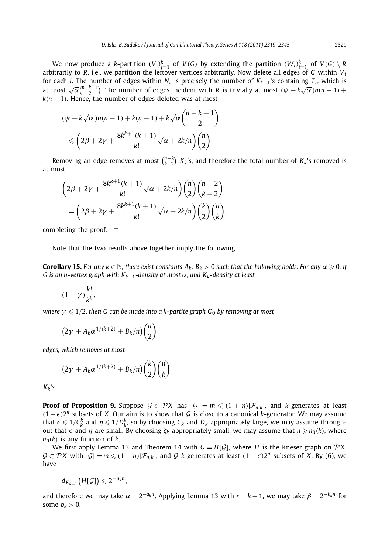We now produce a k-partition  $(V_i)_{i=1}^k$  of  $V(G)$  by extending the partition  $(W_i)_{i=1}^k$  of  $V(G) \setminus R$ arbitrarily to *R*, i.e., we partition the leftover vertices arbitrarily. Now delete all edges of *G* within  $V_i$ for each *i*. The number of edges within  $N_i$  is precisely the number of  $K_{k+1}$ 's containing  $T_i$ , which is at most  $\sqrt{\alpha} \binom{n-k+1}{2}$ . The number of edges incident with *R* is trivially at most  $(\psi + k\sqrt{\alpha})n(n-1) +$  $k(n-1)$ . Hence, the number of edges deleted was at most

$$
(\psi + k\sqrt{\alpha})n(n-1) + k(n-1) + k\sqrt{\alpha} \binom{n-k+1}{2}
$$
  
\$\leqslant \left(2\beta + 2\gamma + \frac{8k^{k+1}(k+1)}{k!}\sqrt{\alpha} + 2k/n\right)\binom{n}{2}\$.

Removing an edge removes at most  $\binom{n-2}{k-2}$   $K_k$ 's, and therefore the total number of  $K_k$ 's removed is at most

$$
\left(2\beta + 2\gamma + \frac{8k^{k+1}(k+1)}{k!}\sqrt{\alpha} + 2k/n\right)\binom{n}{2}\binom{n-2}{k-2} = \left(2\beta + 2\gamma + \frac{8k^{k+1}(k+1)}{k!}\sqrt{\alpha} + 2k/n\right)\binom{k}{2}\binom{n}{k},
$$

completing the proof.  $\Box$ 

Note that the two results above together imply the following

**Corollary 15.** For any  $k \in \mathbb{N}$ , there exist constants  $A_k$ ,  $B_k > 0$  such that the following holds. For any  $\alpha \geq 0$ , if *G is an n-vertex graph with Kk*+1*-density at most α, and Kk-density at least*

$$
(1-\gamma)\frac{k!}{k^k},
$$

 $\textit{where } γ ≤ 1/2 \textit{, then } G \textit{ can be made into a k-partite graph } G_0 \textit{ by removing at most } \textit{ }$ 

$$
(2\gamma + A_k \alpha^{1/(k+2)} + B_k/n) \binom{n}{2}
$$

*edges, which removes at most*

$$
(2\gamma + A_k \alpha^{1/(k+2)} + B_k/n) \binom{k}{2} \binom{n}{k}
$$

*Kk's.*

**Proof of Proposition 9.** Suppose  $G \subset \mathcal{P}X$  has  $|\mathcal{G}| = m \leq (1 + \eta)|\mathcal{F}_{n,k}|$ , and *k*-generates at least *(*1− $\epsilon$ *)*<sup>*n*</sup> subsets of *X*. Our aim is to show that *G* is close to a canonical *k*-generator. We may assume that  $\epsilon \leqslant 1/C_k^k$  and  $\eta \leqslant 1/D_k^k$ , so by choosing  $C_k$  and  $D_k$  appropriately large, we may assume throughout that  $\epsilon$  and *η* are small. By choosing *ξ*<sub>*k*</sub> appropriately small, we may assume that *n* ≥ *n*<sub>0</sub>(*k*), where  $n_0(k)$  is any function of *k*.

We first apply Lemma 13 and Theorem 14 with  $G = H[\mathcal{G}]$ , where *H* is the Kneser graph on  $\mathcal{P}X$ ,  $G \subset \mathcal{P}X$  with  $|\mathcal{G}| = m \leq (1 + \eta)|\mathcal{F}_{n,k}|$ , and G *k*-generates at least  $(1 - \epsilon)2^n$  subsets of X. By (6), we have

 $d_{K_{k+1}}(H[\mathcal{G}]) \leq 2^{-a_k n},$ 

and therefore we may take  $\alpha = 2^{-a_k n}$ . Applying Lemma 13 with  $r = k - 1$ , we may take  $\beta = 2^{-b_k n}$  for some  $b_k > 0$ .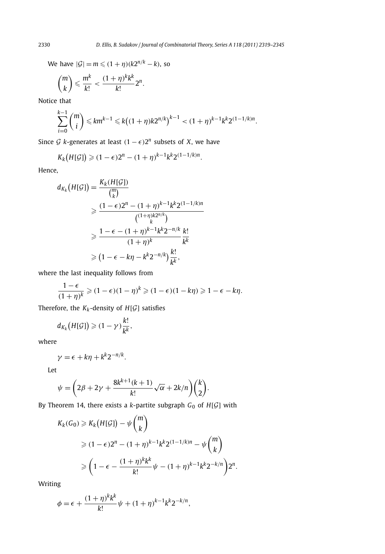We have  $|\mathcal{G}| = m \leq (1 + \eta)(k2^{n/k} - k)$ , so

$$
\binom{m}{k} \leqslant \frac{m^k}{k!} < \frac{(1+\eta)^k k^k}{k!} 2^n.
$$

Notice that

$$
\sum_{i=0}^{k-1} {m \choose i} \leq k m^{k-1} \leq k \big((1+\eta)k 2^{n/k}\big)^{k-1} < (1+\eta)^{k-1} k^{k} 2^{(1-1/k)n}.
$$

Since *G k*-generates at least  $(1 − \epsilon)2^n$  subsets of *X*, we have

$$
K_k(H[\mathcal{G}]) \geq (1-\epsilon)2^n - (1+\eta)^{k-1}k^k 2^{(1-1/k)n}.
$$

Hence,

$$
d_{K_k}(H[\mathcal{G}]) = \frac{K_k(H[\mathcal{G}])}{\binom{m}{k}} \\
\geq \frac{(1-\epsilon)2^n - (1+\eta)^{k-1}k^k 2^{(1-1/k)n}}{\binom{(1+\eta)k2^{n/k}}{k}} \\
\geq \frac{1-\epsilon - (1+\eta)^{k-1}k^k 2^{-n/k}}{(1+\eta)^k} \frac{k!}{k^k} \\
\geq (1-\epsilon - k\eta - k^k 2^{-n/k}) \frac{k!}{k^k},
$$

where the last inequality follows from

$$
\frac{1-\epsilon}{(1+\eta)^k} \geq (1-\epsilon)(1-\eta)^k \geq (1-\epsilon)(1-k\eta) \geq 1-\epsilon - k\eta.
$$

Therefore, the  $K_k$ -density of  $H[\mathcal{G}]$  satisfies

$$
d_{K_k}\big(H[\mathcal{G}]\big) \geqslant (1-\gamma) \frac{k!}{k^k},
$$

where

$$
\gamma = \epsilon + k\eta + k^k 2^{-n/k}.
$$

Let

$$
\psi = \left(2\beta + 2\gamma + \frac{8k^{k+1}(k+1)}{k!}\sqrt{\alpha} + 2k/n\right)\binom{k}{2}.
$$

By Theorem 14, there exists a *<sup>k</sup>*-partite subgraph *<sup>G</sup>*<sup>0</sup> of *<sup>H</sup>*[G] with

$$
K_k(G_0) \geqslant K_k\big(H[\mathcal{G}]\big) - \psi \binom{m}{k}
$$
  
\n
$$
\geqslant (1 - \epsilon)2^n - (1 + \eta)^{k-1} k^k 2^{(1-1/k)n} - \psi \binom{m}{k}
$$
  
\n
$$
\geqslant \left(1 - \epsilon - \frac{(1 + \eta)^k k^k}{k!} \psi - (1 + \eta)^{k-1} k^k 2^{-k/n}\right) 2^n.
$$

Writing

$$
\phi = \epsilon + \frac{(1+\eta)^k k^k}{k!} \psi + (1+\eta)^{k-1} k^k 2^{-k/n},
$$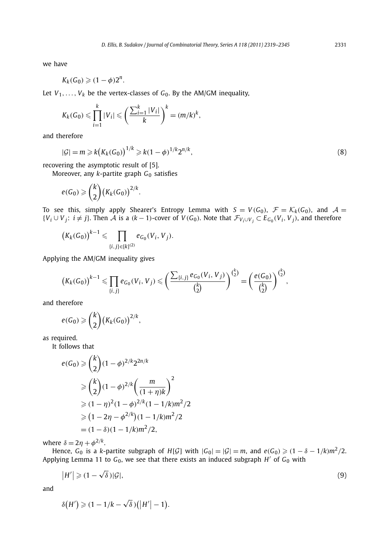we have

$$
K_k(G_0) \geqslant (1-\phi)2^n.
$$

Let  $V_1, \ldots, V_k$  be the vertex-classes of  $G_0$ . By the AM/GM inequality,

$$
K_k(G_0) \leqslant \prod_{i=1}^k |V_i| \leqslant \left(\frac{\sum_{i=1}^k |V_i|}{k}\right)^k = (m/k)^k,
$$

and therefore

$$
|\mathcal{G}| = m \ge k(K_k(G_0))^{1/k} \ge k(1-\phi)^{1/k} 2^{n/k},
$$
\n(8)

recovering the asymptotic result of [5].

Moreover, any *k*-partite graph *G*<sup>0</sup> satisfies

$$
e(G_0) \geqslant {k \choose 2} \big(K_k(G_0)\big)^{2/k}.
$$

To see this, simply apply Shearer's Entropy Lemma with  $S = V(G_0)$ ,  $\mathcal{F} = \mathcal{K}_k(G_0)$ , and  $\mathcal{A} =$  $\{V_i \cup V_j : i \neq j\}$ . Then A is a  $(k-1)$ -cover of  $V(G_0)$ . Note that  $\mathcal{F}_{V_i \cup V_j} \subset E_{G_0}(V_i, V_j)$ , and therefore

$$
(K_k(G_0))^{k-1} \leq \prod_{\{i,j\} \in [k]^{(2)}} e_{G_0}(V_i, V_j).
$$

Applying the AM/GM inequality gives

$$
(K_k(G_0))^{k-1} \leq \prod_{\{i,j\}} e_{G_0}(V_i, V_j) \leq \left(\frac{\sum_{\{i,j\}} e_{G_0}(V_i, V_j)}{\binom{k}{2}}\right)^{\binom{k}{2}} = \left(\frac{e(G_0)}{\binom{k}{2}}\right)^{\binom{k}{2}},
$$

and therefore

$$
e(G_0) \geqslant {k \choose 2} \big(K_k(G_0)\big)^{2/k},
$$

as required.

It follows that

$$
e(G_0) \geq {k \choose 2} (1 - \phi)^{2/k} 2^{2n/k}
$$
  
\n
$$
\geq {k \choose 2} (1 - \phi)^{2/k} \left(\frac{m}{(1 + \eta)k}\right)^2
$$
  
\n
$$
\geq (1 - \eta)^2 (1 - \phi)^{2/k} (1 - 1/k) m^2 / 2
$$
  
\n
$$
\geq (1 - 2\eta - \phi^{2/k}) (1 - 1/k) m^2 / 2
$$
  
\n
$$
= (1 - \delta)(1 - 1/k) m^2 / 2,
$$

where  $\delta = 2\eta + \phi^{2/k}$ .

Hence,  $G_0$  is a *k*-partite subgraph of  $H[G]$  with  $|G_0| = |G| = m$ , and  $e(G_0) \ge (1 - \delta - 1/k)m^2/2$ . Applying Lemma 11 to  $G_0$ , we see that there exists an induced subgraph  $H'$  of  $G_0$  with

$$
|H'| \geqslant (1 - \sqrt{\delta})|\mathcal{G}|,\tag{9}
$$

and

$$
\delta\big(H'\big) \geqslant (1-1/k-\sqrt{\delta})\big(\big|H'\big|-1\big).
$$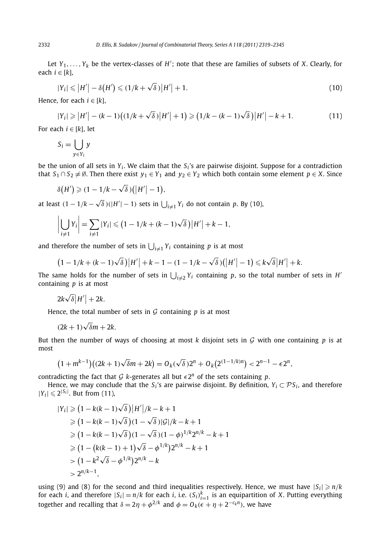Let *<sup>Y</sup>*1*,..., Yk* be the vertex-classes of *<sup>H</sup>* ; note that these are families of subsets of *X*. Clearly, for each *i* ∈ [*k*],

$$
|Y_i| \leq |H'| - \delta\big(H'\big) \leq (1/k + \sqrt{\delta})\big|H'\big| + 1. \tag{10}
$$

Hence, for each  $i \in [k]$ ,

$$
|Y_i| \ge |H'| - (k-1)\left((1/k + \sqrt{\delta})|H'| + 1\right) \ge \left(1/k - (k-1)\sqrt{\delta}\right)|H'| - k + 1.
$$
 (11)

For each  $i \in [k]$ , let

$$
S_i = \bigcup_{y \in Y_i} y
$$

be the union of all sets in  $Y_i$ . We claim that the  $S_i$ 's are pairwise disjoint. Suppose for a contradiction that  $S_1 \cap S_2 \neq \emptyset$ . Then there exist  $y_1 \in Y_1$  and  $y_2 \in Y_2$  which both contain some element  $p \in X$ . Since

$$
\delta\big(H'\big) \geqslant (1-1/k-\sqrt{\delta})\big(\big|H'\big|-1\big),
$$

at least  $(1-1/k-\sqrt{\delta})(|H'|-1)$  sets in  $\bigcup_{i\neq 1}Y_i$  do not contain *p*. By (10),

$$
\left|\bigcup_{i\neq 1} Y_i\right| = \sum_{i\neq 1} |Y_i| \leq (1 - 1/k + (k-1)\sqrt{\delta}) |H'| + k - 1,
$$

and therefore the number of sets in  $\bigcup_{i\neq 1} Y_i$  containing p is at most

$$
(1 - 1/k + (k - 1)\sqrt{\delta})|H'| + k - 1 - (1 - 1/k - \sqrt{\delta})(|H'| - 1) \le k\sqrt{\delta}|H'| + k.
$$

The same holds for the number of sets in  $\bigcup_{i\neq 2} Y_i$  containing p, so the total number of sets in *H'* containing *p* is at most

$$
2k\sqrt{\delta}|H'| + 2k.
$$

Hence, the total number of sets in  $G$  containing  $p$  is at most

$$
(2k+1)\sqrt{\delta}m+2k.
$$

But then the number of ways of choosing at most  $k$  disjoint sets in  $G$  with one containing  $p$  is at most

$$
(1+m^{k-1})(2k+1)\sqrt{\delta}m+2k)=O_k(\sqrt{\delta})2^n+O_k(2^{(1-1/k)n})<2^{n-1}-\epsilon 2^n,
$$

contradicting the fact that  $G$  *k*-generates all but  $\epsilon 2^n$  of the sets containing *p*.

Hence, we may conclude that the  $S_i$ 's are pairwise disjoint. By definition,  $Y_i \subset \mathcal{P} S_i$ , and therefore  $|Y_i| \leq 2^{|S_i|}$ . But from (11),

$$
|Y_i| \ge (1 - k(k - 1)\sqrt{\delta})|H'|/k - k + 1
$$
  
\n
$$
\ge (1 - k(k - 1)\sqrt{\delta})(1 - \sqrt{\delta})|G|/k - k + 1
$$
  
\n
$$
\ge (1 - k(k - 1)\sqrt{\delta})(1 - \sqrt{\delta})(1 - \phi)^{1/k}2^{n/k} - k + 1
$$
  
\n
$$
\ge (1 - (k(k - 1) + 1)\sqrt{\delta} - \phi^{1/k})2^{n/k} - k + 1
$$
  
\n
$$
> (1 - k^2\sqrt{\delta} - \phi^{1/k})2^{n/k} - k
$$
  
\n
$$
> 2^{n/k - 1},
$$

using (9) and (8) for the second and third inequalities respectively. Hence, we must have  $|S_i| \ge n/k$ for each *i*, and therefore  $|S_i| = n/k$  for each *i*, i.e.  $(S_i)_{i=1}^k$  is an equipartition of *X*. Putting everything together and recalling that  $\delta = 2\eta + \phi^{2/k}$  and  $\phi = O_k(\epsilon + \eta + 2^{-c_k n})$ , we have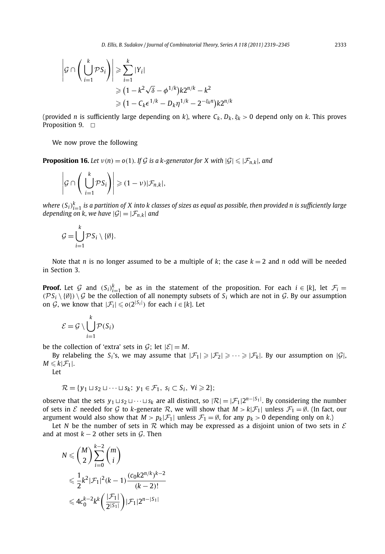$$
\left| \mathcal{G} \cap \left( \bigcup_{i=1}^{k} \mathcal{P} S_{i} \right) \right| \geq \sum_{i=1}^{k} |Y_{i}|
$$
  
\n
$$
\geq (1 - k^{2} \sqrt{\delta} - \phi^{1/k}) k 2^{n/k} - k^{2}
$$
  
\n
$$
\geq (1 - C_{k} \epsilon^{1/k} - D_{k} \eta^{1/k} - 2^{-\xi_{k}n}) k 2^{n/k}
$$

(provided *n* is sufficiently large depending on *k*), where  $C_k$ ,  $D_k$ ,  $\xi_k$  > 0 depend only on *k*. This proves Proposition 9.  $\Box$ 

We now prove the following

**Proposition 16.** Let  $v(n) = o(1)$ . If G is a k-generator for X with  $|\mathcal{G}| \leq |\mathcal{F}_{n,k}|$ , and

$$
\left|\mathcal{G}\cap\left(\left.\bigcup_{i=1}^k\mathcal{P}\mathcal{S}_i\right)\right|\geqslant(1-\nu)|\mathcal{F}_{n,k}|,
$$

where  $(S_i)_{i=1}^k$  is a partition of X into k classes of sizes as equal as possible, then provided n is sufficiently large *depending on k, we have*  $|\mathcal{G}|=|\mathcal{F}_{n,k}|$  *and* 

$$
\mathcal{G} = \bigcup_{i=1}^k \mathcal{P} S_i \setminus \{\emptyset\}.
$$

Note that *n* is no longer assumed to be a multiple of *k*; the case  $k = 2$  and *n* odd will be needed in Section 3.

**Proof.** Let G and  $(S_i)_{i=1}^k$  be as in the statement of the proposition. For each  $i \in [k]$ , let  $\mathcal{F}_i =$  $(\mathcal{PS}_i \setminus \{\emptyset\}) \setminus \mathcal{G}$  be the collection of all nonempty subsets of  $S_i$  which are not in  $\mathcal{G}$ . By our assumption on  $G$ , we know that  $|\mathcal{F}_i| \leqslant o(2^{|S_i|})$  for each  $i \in [k]$ . Let

$$
\mathcal{E} = \mathcal{G} \setminus \bigcup_{i=1}^{k} \mathcal{P}(S_i)
$$

be the collection of 'extra' sets in  $G$ ; let  $|\mathcal{E}| = M$ .

By relabeling the *S<sub>i</sub>*'s, we may assume that  $|\mathcal{F}_1| \ge |\mathcal{F}_2| \ge \cdots \ge |\mathcal{F}_k|$ . By our assumption on |G|,  $M \leqslant k|\mathcal{F}_1|$ .

Let

$$
\mathcal{R} = \{y_1 \sqcup s_2 \sqcup \cdots \sqcup s_k; \ y_1 \in \mathcal{F}_1, \ s_i \subset S_i, \ \forall i \geqslant 2\};
$$

observe that the sets  $y_1 \sqcup s_2 \sqcup \cdots \sqcup s_k$  are all distinct, so  $|\mathcal{R}| = |\mathcal{F}_1| 2^{n-|S_1|}$ . By considering the number of sets in  $\mathcal E$  needed for  $\mathcal G$  to *k*-generate  $\mathcal R$ , we will show that  $M > k|\mathcal F_1|$  unless  $\mathcal F_1 = \emptyset$ . (In fact, our argument would also show that  $M > p_k|\mathcal{F}_1|$  unless  $\mathcal{F}_1 = \emptyset$ , for any  $p_k > 0$  depending only on k.)

Let *N* be the number of sets in  $\mathcal R$  which may be expressed as a disjoint union of two sets in  $\mathcal E$ and at most  $k - 2$  other sets in  $\mathcal{G}$ . Then

$$
N \le {M \choose 2} \sum_{i=0}^{k-2} {m \choose i}
$$
  

$$
\leq \frac{1}{2} k^2 |\mathcal{F}_1|^2 (k-1) \frac{(c_0 k 2^{n/k})^{k-2}}{(k-2)!}
$$
  

$$
\leq 4c_0^{k-2} k^k \left( \frac{|\mathcal{F}_1|}{2^{|S_1|}} \right) |\mathcal{F}_1| 2^{n-|S_1|}
$$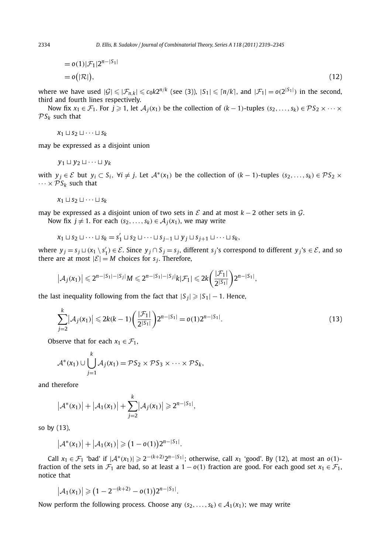$$
=o(1)|\mathcal{F}_1|2^{n-|S_1|}
$$
  
=o(|\mathcal{R}|), (12)

where we have used  $|\mathcal{G}| \leq |\mathcal{F}_{n,k}| \leq c_0 k 2^{n/k}$  (see (3)),  $|S_1| \leq \lceil n/k \rceil$ , and  $|\mathcal{F}_1| = o(2^{|S_1|})$  in the second, third and fourth lines respectively.

Now fix  $x_1 \in \mathcal{F}_1$ . For  $j \ge 1$ , let  $\mathcal{A}_j(x_1)$  be the collection of  $(k-1)$ -tuples  $(s_2, \ldots, s_k) \in \mathcal{P}S_2 \times \cdots \times$  $PS_k$  such that

$$
x_1 \sqcup s_2 \sqcup \cdots \sqcup s_k
$$

may be expressed as a disjoint union

$$
y_1 \sqcup y_2 \sqcup \cdots \sqcup y_k
$$

with  $y_i \in \mathcal{E}$  but  $y_i \subset S_i$ ,  $\forall i \neq j$ . Let  $\mathcal{A}^*(x_1)$  be the collection of  $(k-1)$ -tuples  $(s_2,...,s_k) \in \mathcal{PS}_2$  x  $\cdots \times \mathcal{P} S_k$  such that

$$
x_1 \sqcup s_2 \sqcup \cdots \sqcup s_k
$$

may be expressed as a disjoint union of two sets in  $\mathcal E$  and at most  $k-2$  other sets in  $\mathcal G$ .

Now fix  $j \neq 1$ . For each  $(s_2, \ldots, s_k) \in A_j(x_1)$ , we may write

$$
x_1 \sqcup s_2 \sqcup \cdots \sqcup s_k = s'_1 \sqcup s_2 \sqcup \cdots \sqcup s_{j-1} \sqcup y_j \sqcup s_{j+1} \sqcup \cdots \sqcup s_k,
$$

where  $y_j = s_j \sqcup (x_1 \setminus s'_1) \in \mathcal{E}$ . Since  $y_j \cap S_j = s_j$ , different  $s_j$ 's correspond to different  $y_j$ 's  $\in \mathcal{E}$ , and so there are at most  $|\mathcal{E}| = M$  choices for  $s_i$ . Therefore,

$$
\left|\mathcal{A}_{j}(x_{1})\right|\leq 2^{n-|S_{1}|-|S_{j}|}M\leq 2^{n-|S_{1}|-|S_{j}|}k|\mathcal{F}_{1}|\leq 2k\left(\frac{|\mathcal{F}_{1}|}{2^{|S_{1}|}}\right)2^{n-|S_{1}|},
$$

the last inequality following from the fact that  $|S_i| \geq |S_1| - 1$ . Hence,

$$
\sum_{j=2}^{k} |A_j(x_1)| \leq 2k(k-1) \left(\frac{|\mathcal{F}_1|}{2^{|S_1|}}\right) 2^{n-|S_1|} = o(1) 2^{n-|S_1|}.
$$
\n(13)

Observe that for each  $x_1 \in \mathcal{F}_1$ ,

$$
\mathcal{A}^*(x_1) \cup \bigcup_{j=1}^k \mathcal{A}_j(x_1) = \mathcal{P} S_2 \times \mathcal{P} S_3 \times \cdots \times \mathcal{P} S_k,
$$

and therefore

$$
|\mathcal{A}^*(x_1)| + |\mathcal{A}_1(x_1)| + \sum_{j=2}^k |\mathcal{A}_j(x_1)| \geq 2^{n-|S_1|},
$$

so by (13),

$$
|\mathcal{A}^*(x_1)| + |\mathcal{A}_1(x_1)| \geq (1 - o(1))2^{n-|S_1|}.
$$

Call  $x_1 \in \mathcal{F}_1$  'bad' if  $|\mathcal{A}^*(x_1)| \geq 2^{-(k+2)} 2^{n-|S_1|}$ ; otherwise, call  $x_1$  'good'. By (12), at most an *o*(1)fraction of the sets in  $\mathcal{F}_1$  are bad, so at least a  $1 - o(1)$  fraction are good. For each good set  $x_1 \in \mathcal{F}_1$ , notice that

$$
|\mathcal{A}_1(x_1)| \geq (1 - 2^{-(k+2)} - o(1))2^{n-|S_1|}.
$$

Now perform the following process. Choose any  $(s_2, \ldots, s_k) \in A_1(x_1)$ ; we may write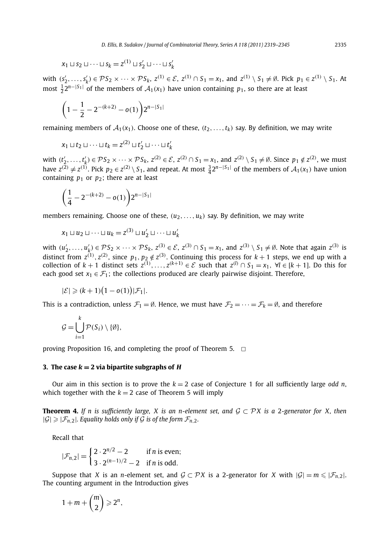$$
x_1 \sqcup s_2 \sqcup \cdots \sqcup s_k = z^{(1)} \sqcup s'_2 \sqcup \cdots \sqcup s'_k
$$

with  $(s'_2, \ldots, s'_k) \in \mathcal{P}S_2 \times \cdots \times \mathcal{P}S_k$ ,  $z^{(1)} \in \mathcal{E}$ ,  $z^{(1)} \cap S_1 = x_1$ , and  $z^{(1)} \setminus S_1 \neq \emptyset$ . Pick  $p_1 \in z^{(1)} \setminus S_1$ . At most  $\frac{1}{2}$ 2<sup>*n*−|*S*<sub>1</sub>| of the members of  $A_1(x_1)$  have union containing  $p_1$ , so there are at least</sup>

$$
\bigg(1-\frac{1}{2}-2^{-(k+2)}-o(1)\bigg)2^{n-|S_1|}
$$

remaining members of  $A_1(x_1)$ . Choose one of these,  $(t_2, \ldots, t_k)$  say. By definition, we may write

$$
x_1 \sqcup t_2 \sqcup \cdots \sqcup t_k = z^{(2)} \sqcup t'_2 \sqcup \cdots \sqcup t'_k
$$

with  $(t'_2, ..., t'_k) \in \mathcal{PS}_2 \times \cdots \times \mathcal{PS}_k$ ,  $z^{(2)} \in \mathcal{E}$ ,  $z^{(2)} \cap S_1 = x_1$ , and  $z^{(2)} \setminus S_1 \neq \emptyset$ . Since  $p_1 \notin z^{(2)}$ , we must have  $z^{(2)}$  ≠  $z^{(1)}$ . Pick  $p_2 \in z^{(2)} \setminus S_1$ , and repeat. At most  $\frac{3}{4}2^{n-|S_1|}$  of the members of  $\mathcal{A}_1(x_1)$  have union containing  $p_1$  or  $p_2$ ; there are at least

$$
\bigg(\frac{1}{4}-2^{-(k+2)}-o(1)\bigg)2^{n-|S_1|}
$$

members remaining. Choose one of these,  $(u_2, \ldots, u_k)$  say. By definition, we may write

$$
x_1 \sqcup u_2 \sqcup \cdots \sqcup u_k = z^{(3)} \sqcup u'_2 \sqcup \cdots \sqcup u'_k
$$

with  $(u'_2, \ldots, u'_k) \in \mathcal{PS}_2 \times \cdots \times \mathcal{PS}_k$ ,  $z^{(3)} \in \mathcal{E}$ ,  $z^{(3)} \cap S_1 = x_1$ , and  $z^{(3)} \setminus S_1 \neq \emptyset$ . Note that again  $z^{(3)}$  is distinct from  $z^{(1)}$ ,  $z^{(2)}$ , since  $p_1$ ,  $p_2 \notin z^{(3)}$ . Continuing this process for  $k + 1$  steps, we end up with a collection of  $k + 1$  distinct sets  $z^{(1)}, \ldots, z^{(k+1)} \in \mathcal{E}$  such that  $z^{(l)} \cap S_1 = x_1, \forall l \in [k+1]$ . Do this for each good set  $x_1 \in \mathcal{F}_1$ ; the collections produced are clearly pairwise disjoint. Therefore,

$$
|\mathcal{E}| \geqslant (k+1)\big(1-o(1)\big)|\mathcal{F}_1|.
$$

This is a contradiction, unless  $\mathcal{F}_1 = \emptyset$ . Hence, we must have  $\mathcal{F}_2 = \cdots = \mathcal{F}_k = \emptyset$ , and therefore

$$
\mathcal{G} = \bigcup_{i=1}^k \mathcal{P}(S_i) \setminus \{\emptyset\},\
$$

proving Proposition 16, and completing the proof of Theorem 5.  $\Box$ 

#### **3.** The case  $k = 2$  via bipartite subgraphs of  $H$

Our aim in this section is to prove the  $k = 2$  case of Conjecture 1 for all sufficiently large *odd n*, which together with the  $k = 2$  case of Theorem 5 will imply

**Theorem 4.** *If n is sufficiently large, X is an n-element set, and*  $G \subset \mathcal{P}X$  *is a 2-generator for X, then*  $|\mathcal{G}| \geq |\mathcal{F}_{n,2}|$ *. Equality holds only if* G *is of the form*  $\mathcal{F}_{n,2}$ *.* 

Recall that

$$
|\mathcal{F}_{n,2}| = \begin{cases} 2 \cdot 2^{n/2} - 2 & \text{if } n \text{ is even;} \\ 3 \cdot 2^{(n-1)/2} - 2 & \text{if } n \text{ is odd.} \end{cases}
$$

Suppose that *X* is an *n*-element set, and  $G \subset \mathcal{P}X$  is a 2-generator for *X* with  $|G| = m \leq |\mathcal{F}_{n,2}|$ . The counting argument in the Introduction gives

$$
1+m+\binom{m}{2}\geqslant 2^n,
$$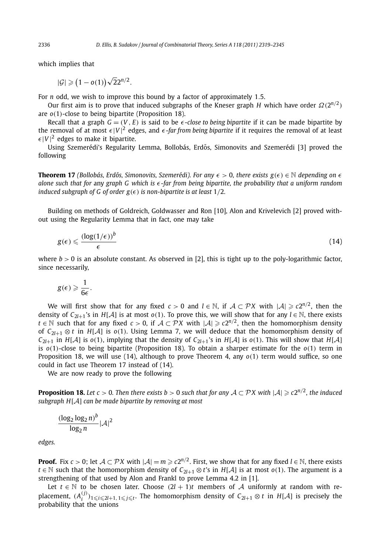which implies that

 $|\mathcal{G}| \geq (1 - o(1))\sqrt{2}2^{n/2}.$ 

For *n* odd, we wish to improve this bound by a factor of approximately 1*.*5.

Our first aim is to prove that induced subgraphs of the Kneser graph *H* which have order  $\Omega(2^{n/2})$ are *o(*1*)*-close to being bipartite (Proposition 18).

Recall that a graph  $G = (V, E)$  is said to be  $\epsilon$ -close to being bipartite if it can be made bipartite by the removal of at most  $\epsilon |V|^2$  edges, and  $\epsilon$ *-far from being bipartite* if it requires the removal of at least  $\epsilon |V|^2$  edges to make it bipartite.

Using Szemerédi's Regularity Lemma, Bollobás, Erdős, Simonovits and Szemerédi [3] proved the following

**Theorem 17** *(Bollobás, Erdős, Simonovits, Szemerédi). For any*  $\epsilon > 0$ , there exists  $g(\epsilon) \in \mathbb{N}$  depending on  $\epsilon$ *alone such that for* any *graph G which is -far from being bipartite, the probability that a uniform random induced subgraph of G of order*  $g(\epsilon)$  *is non-bipartite is at least* 1/2*.* 

Building on methods of Goldreich, Goldwasser and Ron [10], Alon and Krivelevich [2] proved without using the Regularity Lemma that in fact, one may take

$$
g(\epsilon) \leqslant \frac{(\log(1/\epsilon))^b}{\epsilon} \tag{14}
$$

where  $b > 0$  is an absolute constant. As observed in [2], this is tight up to the poly-logarithmic factor, since necessarily,

$$
g(\epsilon) \geqslant \frac{1}{6\epsilon}.
$$

We will first show that for any fixed  $c > 0$  and  $l \in \mathbb{N}$ , if  $A \subset \mathcal{P}X$  with  $|A| \geq c2^{n/2}$ , then the density of  $C_{2l+1}$ 's in *H*[A] is at most  $o(1)$ . To prove this, we will show that for any  $l \in \mathbb{N}$ , there exists *t* ∈ N such that for any fixed *c* > 0, if  $A \subset \mathcal{PX}$  with  $|A| \ge c2^{n/2}$ , then the homomorphism density of  $C_{2l+1} \otimes t$  in  $H[A]$  is  $o(1)$ . Using Lemma 7, we will deduce that the homomorphism density of *C*<sub>2*l*+1</sub> in *H*[A] is  $o(1)$ , implying that the density of *C*<sub>2*l*+1</sub>'s in *H*[A] is  $o(1)$ . This will show that *H*[A] is  $o(1)$ -close to being bipartite (Proposition 18). To obtain a sharper estimate for the  $o(1)$  term in Proposition 18, we will use (14), although to prove Theorem 4, any *o(*1*)* term would suffice, so one could in fact use Theorem 17 instead of (14).

We are now ready to prove the following

**Proposition 18.** Let  $c > 0$ . Then there exists  $b > 0$  such that for any  $A \subset \mathcal{P}X$  with  $|A| \ge c2^{n/2}$ , the induced *subgraph H*[A] *can be made bipartite by removing at most*

$$
\frac{(\log_2\log_2 n)^b}{\log_2 n} |\mathcal{A}|^2
$$

*edges.*

**Proof.** Fix  $c > 0$ ; let  $A \subset \mathcal{P}X$  with  $|A| = m \ge c2^{n/2}$ . First, we show that for any fixed  $l \in \mathbb{N}$ , there exists *t* ∈ N such that the homomorphism density of  $C_{2l+1} \otimes t$ 's in *H*[A] is at most *o*(1). The argument is a strengthening of that used by Alon and Frankl to prove Lemma 4.2 in [1].

Let  $t \in \mathbb{N}$  to be chosen later. Choose  $(2l + 1)t$  members of A uniformly at random with replacement,  $(A_i^{(j)})_{1 \leq i \leq 2l+1, 1 \leq j \leq t}$ . The homomorphism density of  $C_{2l+1} \otimes t$  in  $H[A]$  is precisely the probability that the unions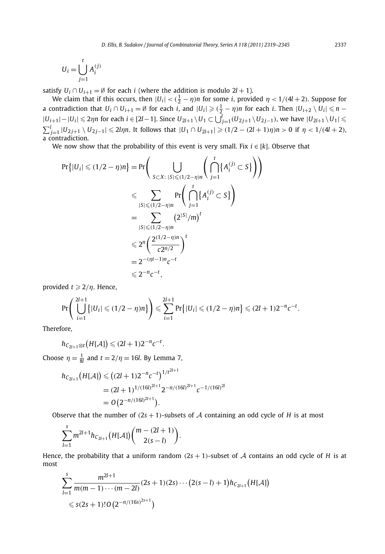$$
U_i = \bigcup_{j=1}^t A_i^{(j)}
$$

satisfy  $U_i \cap U_{i+1} = \emptyset$  for each *i* (where the addition is modulo 2*l* + 1).

We claim that if this occurs, then  $|U_i| < (\frac{1}{2} - \eta)n$  for some *i*, provided  $\eta < 1/(4l + 2)$ . Suppose for a contradiction that  $U_i \cap U_{i+1} = \emptyset$  for each  $i$ , and  $|U_i| \geqslant (\frac{1}{2} - \eta)n$  for each  $i$ . Then  $|U_{i+2} \setminus U_i| \leqslant n - \frac{1}{2}$  $|U_{i+1}|-|U_i|\leqslant 2\eta n$  for each  $i\in [2l-1]$ . Since  $U_{2l+1}\setminus U_1\subset \bigcup_{j=1}^l (U_{2j+1}\setminus U_{2j-1})$ , we have  $|U_{2l+1}\setminus U_1|\leqslant l$  $\sum_{j=1}^l |U_{2j+1} \setminus U_{2j-1}| \leq 2l\eta n$ . It follows that  $|U_1 \cap U_{2l+1}| \geq (1/2 - (2l+1)\eta)n > 0$  if  $\eta < 1/(4l+2)$ , a contradiction.

We now show that the probability of this event is very small. Fix *i* ∈ [*k*]. Observe that

$$
\Pr\{|U_i| \le (1/2 - \eta)n\} = \Pr\Bigg(\bigcup_{S \subset X: \; |S| \le (1/2 - \eta)n} \left(\bigcap_{j=1}^t \{A_i^{(j)} \subset S\}\right)\Bigg) \le \sum_{|S| \le (1/2 - \eta)n} \Pr\Bigg(\bigcap_{j=1}^t \{A_i^{(j)} \subset S\}\Bigg) = \sum_{|S| \le (1/2 - \eta)n} (2^{|S|}/m)^t \le 2^n \left(\frac{2^{(1/2 - \eta)n}}{c2^{n/2}}\right)^t = 2^{-(\eta t - 1)n}c^{-t} \le 2^{-n}c^{-t},
$$

provided  $t \geqslant 2/\eta$ . Hence,

$$
\Pr\left(\bigcup_{i=1}^{2l+1} \{|U_i| \leq (1/2 - \eta)n\}\right) \leq \sum_{i=1}^{2l+1} \Pr\{|U_i| \leq (1/2 - \eta)n\} \leq (2l+1)2^{-n}c^{-t}.
$$

Therefore,

$$
h_{C_{2l+1}\otimes t}(H[\mathcal{A}])\leqslant (2l+1)2^{-n}c^{-t}.
$$

Choose  $\eta = \frac{1}{8l}$  and  $t = 2/\eta = 16l$ . By Lemma 7,

$$
h_{C_{2l+1}}(H[\mathcal{A}]) \leq (2l+1)2^{-n}c^{-t})^{1/t^{2l+1}}
$$
  
=  $(2l+1)^{1/(16l)^{2l+1}}2^{-n/(16l)^{2l+1}}c^{-1/(16l)^{2l}}$   
=  $O(2^{-n/(16l)^{2l+1}}).$ 

Observe that the number of  $(2s + 1)$ -subsets of A containing an odd cycle of H is at most

$$
\sum_{l=1}^{s} m^{2l+1} h_{C_{2l+1}}(H[\mathcal{A}]) {m-(2l+1) \choose 2(s-l)}.
$$

Hence, the probability that a uniform random  $(2s + 1)$ -subset of A contains an odd cycle of H is at most

$$
\sum_{l=1}^{s} \frac{m^{2l+1}}{m(m-1)\cdots(m-2l)} (2s+1)(2s)\cdots (2(s-l)+1)h_{C_{2l+1}}(H[\mathcal{A}])
$$
  
\$\leq s(2s+1)! O (2<sup>-n/(16s)</sup><sup>2s+1</sup>)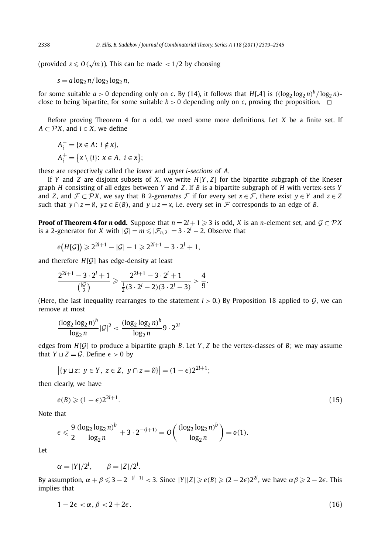(provided  $s \leqslant O(\sqrt{m})$ ). This can be made  $< 1/2$  by choosing

 $s = a \log_2 n / \log_2 \log_2 n$ ,

for some suitable  $a > 0$  depending only on *c*. By (14), it follows that  $H[A]$  is  $((\log_2 \log_2 n)^b / \log_2 n)$ close to being bipartite, for some suitable  $b > 0$  depending only on *c*, proving the proposition.  $\Box$ 

Before proving Theorem 4 for *n* odd, we need some more definitions. Let *X* be a finite set. If *A* ⊂  $\mathcal{P}X$ , and *i* ∈ *X*, we define

$$
A_i^- = \{x \in A: i \notin x\},
$$
  
\n
$$
A_i^+ = \{x \setminus \{i\}: x \in A, i \in x\};
$$

these are respectively called the *lower* and *upper i-sections* of *A*.

If *Y* and *Z* are disjoint subsets of *X*, we write *H*[*Y , Z*] for the bipartite subgraph of the Kneser graph *H* consisting of all edges between *Y* and *Z*. If *B* is a bipartite subgraph of *H* with vertex-sets *Y* and *Z*, and  $\mathcal{F} \subset \mathcal{P}X$ , we say that *B* 2-generates *F* if for every set  $x \in \mathcal{F}$ , there exist  $y \in Y$  and  $z \in Z$ such that  $y \cap z = \emptyset$ ,  $yz \in E(B)$ , and  $y \sqcup z = x$ , i.e. every set in F corresponds to an edge of *B*.

**Proof of Theorem 4 for** *n* **odd.** Suppose that  $n = 2l + 1 \ge 3$  is odd, *X* is an *n*-element set, and  $\mathcal{G} \subset \mathcal{P}X$ is a 2-generator for *X* with  $|\mathcal{G}| = m \leq |\mathcal{F}_{n,2}| = 3 \cdot 2^l - 2$ . Observe that

$$
e(H[G]) \ge 2^{2l+1} - |G| - 1 \ge 2^{2l+1} - 3 \cdot 2^l + 1,
$$

and therefore *<sup>H</sup>*[G] has edge-density at least

$$
\frac{2^{2l+1}-3\cdot 2^l+1}{\binom{|{\cal G}|}{2}}\geqslant \frac{2^{2l+1}-3\cdot 2^l+1}{\frac{1}{2}(3\cdot 2^l-2)(3\cdot 2^l-3)}>\frac{4}{9}.
$$

(Here, the last inequality rearranges to the statement  $l > 0$ .) By Proposition 18 applied to  $G$ , we can remove at most

$$
\frac{(\log_2 \log_2 n)^b}{\log_2 n} |\mathcal{G}|^2 < \frac{(\log_2 \log_2 n)^b}{\log_2 n} 9 \cdot 2^{2l}
$$

edges from  $H[G]$  to produce a bipartite graph *B*. Let *Y*, *Z* be the vertex-classes of *B*; we may assume that  $Y \sqcup Z = \mathcal{G}$ . Define  $\epsilon > 0$  by

$$
|\{y \sqcup z: y \in Y, z \in Z, y \cap z = \emptyset\}| = (1 - \epsilon)2^{2l+1};
$$

then clearly, we have

$$
e(B) \geqslant (1 - \epsilon)2^{2l + 1}.\tag{15}
$$

Note that

$$
\epsilon \leqslant \frac{9}{2} \frac{(\log_2 \log_2 n)^b}{\log_2 n} + 3 \cdot 2^{-(l+1)} = O\left(\frac{(\log_2 \log_2 n)^b}{\log_2 n}\right) = o(1).
$$

Let

$$
\alpha = |Y|/2^l, \qquad \beta = |Z|/2^l.
$$

 $B$ y assumption,  $\alpha + \beta \leqslant 3 - 2^{-(l-1)} < 3$ . Since  $|Y||Z| \geqslant e(B) \geqslant (2-2\epsilon)2^{2l}$ , we have  $\alpha\beta \geqslant 2-2\epsilon$ . This implies that

$$
1 - 2\epsilon < \alpha, \beta < 2 + 2\epsilon. \tag{16}
$$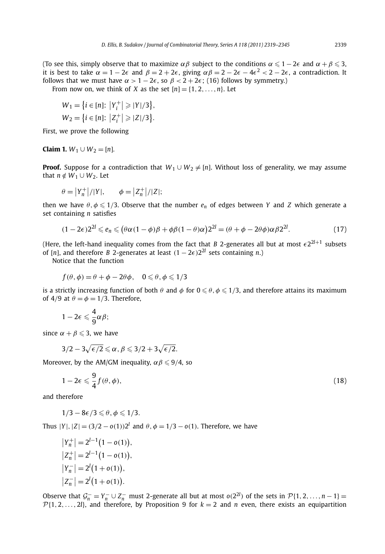(To see this, simply observe that to maximize  $\alpha\beta$  subject to the conditions  $\alpha \leq 1 - 2\epsilon$  and  $\alpha + \beta \leqslant 3$ , it is best to take  $\alpha = 1 - 2\epsilon$  and  $\beta = 2 + 2\epsilon$ , giving  $\alpha\beta = 2 - 2\epsilon - 4\epsilon^2 < 2 - 2\epsilon$ , a contradiction. It follows that we must have  $\alpha > 1 - 2\epsilon$ , so  $\beta < 2 + 2\epsilon$ ; (16) follows by symmetry.)

From now on, we think of *X* as the set  $[n] = \{1, 2, ..., n\}$ . Let

$$
W_1 = \{ i \in [n] : |Y_i^+| \ge |Y|/3 \},
$$
  
\n
$$
W_2 = \{ i \in [n] : |Z_i^+| \ge |Z|/3 \}.
$$

First, we prove the following

#### **Claim 1.**  $W_1 \cup W_2 = [n]$ .

**Proof.** Suppose for a contradiction that  $W_1 \cup W_2 \neq [n]$ . Without loss of generality, we may assume that  $n \notin W_1 \cup W_2$ . Let

$$
\theta = |Y_n^+|/|Y|, \qquad \phi = |Z_n^+|/|Z|;
$$

then we have  $\theta, \phi \leq 1/3$ . Observe that the number  $e_n$  of edges between *Y* and *Z* which generate a set containing *n* satisfies

$$
(1 - 2\epsilon)2^{2l} \leq e_n \leq (\theta \alpha (1 - \phi)\beta + \phi\beta (1 - \theta)\alpha)2^{2l} = (\theta + \phi - 2\theta\phi)\alpha\beta 2^{2l}.
$$
 (17)

(Here, the left-hand inequality comes from the fact that *B* 2-generates all but at most  $\epsilon 2^{2l+1}$  subsets of [*n*], and therefore *B* 2-generates at least  $(1 - 2\epsilon)2^{2l}$  sets containing *n*.)

Notice that the function

$$
f(\theta, \phi) = \theta + \phi - 2\theta\phi, \quad 0 \leq \theta, \phi \leq 1/3
$$

is a strictly increasing function of both  $\theta$  and  $\phi$  for  $0\leqslant\theta,\phi\leqslant1/3,$  and therefore attains its maximum of 4/9 at  $\theta = \phi = 1/3$ . Therefore,

$$
1-2\epsilon\leqslant \frac{4}{9}\alpha\beta;
$$

since  $\alpha + \beta \leqslant 3$ , we have

$$
3/2 - 3\sqrt{\epsilon/2} \leqslant \alpha, \beta \leqslant 3/2 + 3\sqrt{\epsilon/2}.
$$

Moreover, by the AM/GM inequality,  $\alpha\beta\leqslant9/4$ , so

$$
1 - 2\epsilon \leq \frac{9}{4} f(\theta, \phi),\tag{18}
$$

and therefore

$$
1/3-8\epsilon/3\leqslant\theta,\phi\leqslant1/3.
$$

Thus  $|Y|, |Z| = (3/2 - o(1))2^{l}$  and  $\theta, \phi = 1/3 - o(1)$ . Therefore, we have

$$
\begin{aligned} \left| Y_n^+ \right| &= 2^{l-1} \big( 1 - o(1) \big), \\ \left| Z_n^+ \right| &= 2^{l-1} \big( 1 - o(1) \big), \\ \left| Y_n^- \right| &= 2^l \big( 1 + o(1) \big), \\ \left| Z_n^- \right| &= 2^l \big( 1 + o(1) \big). \end{aligned}
$$

Observe that  $\mathcal{G}_n^- = Y_n^- \cup Z_n^-$  must 2-generate all but at most  $o(2^{2l})$  of the sets in  $\mathcal{P}{1, 2, ..., n - 1}$  =  $\mathcal{P}{1, 2, \ldots, 2l}$ , and therefore, by Proposition 9 for  $k = 2$  and *n* even, there exists an equipartition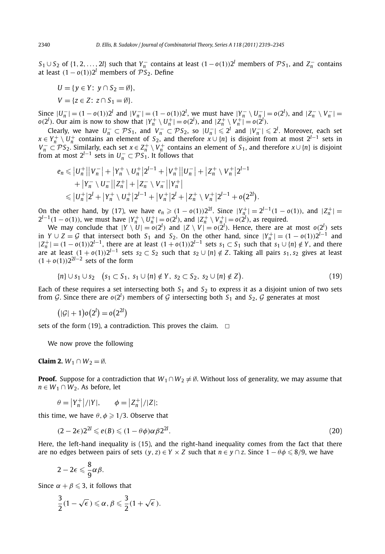*S*<sub>1</sub> ∪ *S*<sub>2</sub> of {1, 2, ..., 2*l*} such that *Y*<sub> $n$ </sub> contains at least  $(1 - o(1))$ <sup>2*l*</sup> members of P*S*<sub>1</sub>, and *Z*<sub> $n$ </sub> contains at least  $(1 - o(1))2^l$  members of  $\mathcal{P}S_2$ . Define

 $U = \{v \in Y: v \cap S_2 = \emptyset\},\$ *V* = { $z \in Z$ ;  $z \cap S_1 = \emptyset$ }*.* 

Since  $|U_n^-|$  =  $(1 - o(1))2^l$  and  $|V_n^-|$  =  $(1 - o(1))2^l$ , we must have  $|Y_n^- \setminus U_n^-|$  =  $o(2^l)$ , and  $|Z_n^- \setminus V_n^-|$  =  $o(2^l)$ . Our aim is now to show that  $|Y_n^+ \setminus U_n^+| = o(2^l)$ , and  $|Z_n^+ \setminus V_n^+| = o(2^l)$ .

Clearly, we have  $U_n^- \subset \mathcal{P}S_1$ , and  $V_n^- \subset \mathcal{P}S_2$ , so  $|U_n^-| \leq 2^l$  and  $|V_n^-| \leq 2^l$ . Moreover, each set  $x \in Y_n^+ \setminus U_n^+$  contains an element of  $S_2$ , and therefore  $x \cup \{n\}$  is disjoint from at most  $2^{l-1}$  s  $V_n^ \subset \mathcal{P} S_2$ . Similarly, each set  $x \in Z_n^+ \setminus V_n^+$  contains an element of  $S_1$ , and therefore  $x \cup \{n\}$  is disjoint from at most  $2^{l-1}$  sets in  $U_n^- \subset \mathcal{P}S_1$ . It follows that

$$
e_n \le |U_n^+||V_n^-| + |Y_n^+ \setminus U_n^+|2^{l-1} + |V_n^+||U_n^-| + |Z_n^+ \setminus V_n^+|2^{l-1} + |Y_n^- \setminus U_n^-||Z_n^+| + |Z_n^- \setminus V_n^-||Y_n^+| \le |U_n^+|2^l + |Y_n^+ \setminus U_n^+|2^{l-1} + |V_n^+|2^l + |Z_n^+ \setminus V_n^+|2^{l-1} + o(2^{2l}).
$$

On the other hand, by (17), we have  $e_n \ge (1 - o(1))2^{2l}$ . Since  $|Y_{n_i}^+| = 2^{l-1}(1 - o(1))$ , and  $|Z_n^+| =$  $2^{l-1}(1-o(1))$ , we must have  $|Y_n^+\setminus U_n^+|=o(2^l)$ , and  $|Z_n^+\setminus V_n^+|=o(2^l)$ , as required.

We may conclude that  $|Y \setminus U| = o(2^l)$  and  $|Z \setminus V| = o(2^l)$ . Hence, there are at most  $o(2^l)$  sets in *Y* ∪ *Z* = *G* that intersect both *S*<sub>1</sub> and *S*<sub>2</sub>. On the other hand, since  $|Y_n^+| = (1 - o(1))2^{l-1}$  and  $|Z_n^+|$  =  $(1-o(1))2^{l-1}$ , there are at least  $(1+o(1))2^{l-1}$  sets  $s_1 \subset S_1$  such that  $s_1 \cup \{n\} \notin Y$ , and there are at least  $(1 + o(1))2^{l-1}$  sets  $s_2 \subset S_2$  such that  $s_2 \cup \{n\} \notin Z$ . Taking all pairs  $s_1, s_2$  gives at least *(*1 + *o(*1*))*22*<sup>l</sup>*−<sup>2</sup> sets of the form

$$
\{n\} \cup s_1 \cup s_2 \quad (s_1 \subset S_1, \ s_1 \cup \{n\} \notin Y, \ s_2 \subset S_2, \ s_2 \cup \{n\} \notin Z\}. \tag{19}
$$

Each of these requires a set intersecting both  $S_1$  and  $S_2$  to express it as a disjoint union of two sets from G. Since there are  $o(2^l)$  members of G intersecting both  $S_1$  and  $S_2$ , G generates at most

$$
(|\mathcal{G}|+1)o(2^l)=o(2^{2l})
$$

sets of the form (19), a contradiction. This proves the claim.  $\Box$ 

We now prove the following

**Claim 2.**  $W_1 \cap W_2 = \emptyset$ .

**Proof.** Suppose for a contradiction that  $W_1 \cap W_2 \neq \emptyset$ . Without loss of generality, we may assume that *n* ∈ *W*<sub>1</sub> ∩ *W*<sub>2</sub>. As before, let

$$
\theta = |Y_n^+|/|Y|,
$$
  $\phi = |Z_n^+|/|Z|;$ 

this time, we have  $\theta$ ,  $\phi \geq 1/3$ . Observe that

$$
(2-2\epsilon)2^{2l} \leqslant e(B) \leqslant (1-\theta\phi)\alpha\beta 2^{2l}.\tag{20}
$$

Here, the left-hand inequality is (15), and the right-hand inequality comes from the fact that there are no edges between pairs of sets  $(y, z) \in Y \times Z$  such that  $n \in y \cap z$ . Since  $1 - \theta \phi \leqslant 8/9$ , we have

$$
2-2\epsilon\leqslant \frac{8}{9}\alpha\beta.
$$

Since  $\alpha + \beta \leqslant 3$ , it follows that

$$
\frac{3}{2}(1-\sqrt{\epsilon})\leqslant \alpha, \beta\leqslant \frac{3}{2}(1+\sqrt{\epsilon}).
$$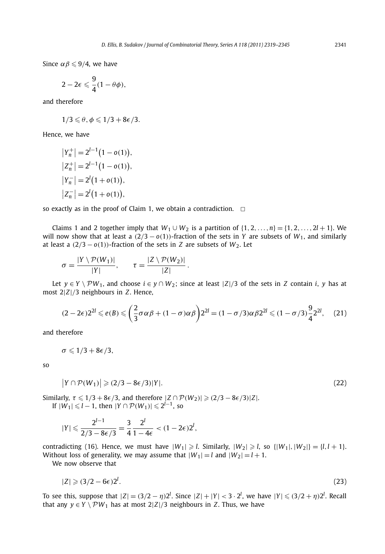Since  $\alpha\beta \leqslant 9/4$ , we have

$$
2-2\epsilon\leqslant \frac{9}{4}(1-\theta\phi),
$$

and therefore

 $1/3 \le \theta, \phi \le 1/3 + 8\epsilon/3.$ 

Hence, we have

$$
|Y_n^+| = 2^{l-1} (1 - o(1)),
$$
  
\n
$$
|Z_n^+| = 2^{l-1} (1 - o(1)),
$$
  
\n
$$
|Y_n^-| = 2^l (1 + o(1)),
$$
  
\n
$$
|Z_n^-| = 2^l (1 + o(1)),
$$

so exactly as in the proof of Claim 1, we obtain a contradiction.  $\Box$ 

Claims 1 and 2 together imply that  $W_1 \cup W_2$  is a partition of  $\{1, 2, \ldots, n\} = \{1, 2, \ldots, 2l + 1\}$ . We will now show that at least a  $(2/3 - o(1))$ -fraction of the sets in *Y* are subsets of  $W_1$ , and similarly at least a  $(2/3 - o(1))$ -fraction of the sets in *Z* are subsets of *W*<sub>2</sub>. Let

$$
\sigma = \frac{|Y \setminus \mathcal{P}(W_1)|}{|Y|}, \qquad \tau = \frac{|Z \setminus \mathcal{P}(W_2)|}{|Z|}.
$$

Let  $y \in Y \setminus \mathcal{P}W_1$ , and choose  $i \in y \cap W_2$ ; since at least  $|Z|/3$  of the sets in *Z* contain *i*, *y* has at most 2|*Z*|*/*3 neighbours in *Z*. Hence,

$$
(2 - 2\epsilon)2^{2l} \leq e(B) \leq \left(\frac{2}{3}\sigma\alpha\beta + (1 - \sigma)\alpha\beta\right)2^{2l} = (1 - \sigma/3)\alpha\beta 2^{2l} \leq (1 - \sigma/3)\frac{9}{4}2^{2l},\tag{21}
$$

and therefore

$$
\sigma\leqslant 1/3+8\epsilon/3,
$$

so

$$
|Y \cap \mathcal{P}(W_1)| \geqslant (2/3 - 8\epsilon/3)|Y|.
$$
\n<sup>(22)</sup>

Similarly,  $\tau \leq 1/3 + 8\epsilon/3$ , and therefore  $|Z \cap \mathcal{P}(W_2)| \geq (2/3 - 8\epsilon/3)|Z|$ .  $|W_1| \leq l - 1$ , then  $|Y \cap \mathcal{P}(W_1)| \leq 2^{l-1}$ , so

$$
|Y| \leqslant \frac{2^{l-1}}{2/3 - 8\epsilon/3} = \frac{3}{4} \frac{2^l}{1 - 4\epsilon} < (1 - 2\epsilon)2^l,
$$

contradicting (16). Hence, we must have  $|W_1| \ge l$ . Similarly,  $|W_2| \ge l$ , so  $\{|W_1|, |W_2|\} = \{l, l + 1\}$ . Without loss of generality, we may assume that  $|W_1| = l$  and  $|W_2| = l + 1$ .

We now observe that

$$
|Z| \geqslant (3/2 - 6\epsilon)2^l. \tag{23}
$$

To see this, suppose that  $|Z| = (3/2 - \eta)2^l$ . Since  $|Z| + |Y| < 3 \cdot 2^l$ , we have  $|Y| \leq (3/2 + \eta)2^l$ . Recall that any *y* ∈ *Y*  $\setminus$  *PW*<sub>1</sub> has at most 2|*Z*|/3 neighbours in *Z*. Thus, we have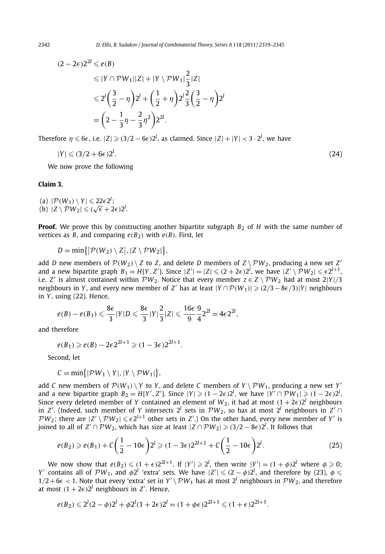$$
(2 - 2\epsilon)2^{2l} \leq e(B)
$$
  
\n
$$
\leq |Y \cap \mathcal{P}W_1||Z| + |Y \setminus \mathcal{P}W_1|\frac{2}{3}|Z|
$$
  
\n
$$
\leq 2^{l} \left(\frac{3}{2} - \eta\right)2^{l} + \left(\frac{1}{2} + \eta\right)2^{l} \frac{2}{3} \left(\frac{3}{2} - \eta\right)2^{l}
$$
  
\n
$$
= \left(2 - \frac{1}{3}\eta - \frac{2}{3}\eta^{2}\right)2^{2l}.
$$

Therefore  $\eta \leqslant 6\epsilon$ , i.e.  $|Z| \geqslant (3/2 - 6\epsilon)2^l$ , as claimed. Since  $|Z| + |Y| < 3 \cdot 2^l$ , we have

$$
|Y| \leqslant (3/2 + 6\epsilon)2^l. \tag{24}
$$

We now prove the following

### **Claim 3.**

(a)  $|\mathcal{P}(W_1) \setminus Y| \leq 22\epsilon 2^l$ ; (a)  $|P(W_1) \setminus Y| \leq 22\epsilon 2$ ;<br>
(b)  $|Z \setminus PW_2| \leq (\sqrt{\epsilon} + 2\epsilon)2^l$ .

**Proof.** We prove this by constructing another bipartite subgraph  $B_2$  of *H* with the same number of vertices as *B*, and comparing  $e(B_2)$  with  $e(B)$ . First, let

$$
D=\min\bigl\{|\mathcal{P}(W_2)\setminus Z|,|Z\setminus \mathcal{P}W_2|\bigr\},\,
$$

add *D* new members of  $\mathcal{P}(W_2) \setminus Z$  to *Z*, and delete *D* members of  $Z \setminus \mathcal{P}W_2$ , producing a new set *Z'* and a new bipartite graph  $B_1 = H[Y, Z']$ . Since  $|Z'| = |Z| \le (2 + 2\epsilon)2^l$ , we have  $|Z' \setminus \mathcal{PW}_2| \le \epsilon 2^{l+1}$ , i.e. *Z'* is almost contained within  $\mathcal{PW}_2$ . Notice that every member  $z \in Z \setminus \mathcal{PW}_2$  had at most  $2|Y|/3$ neighbours in *Y*, and every new member of *Z'* has at least  $|Y \cap \mathcal{P}(W_1)| \geq (2/3 - 8\epsilon/3)|Y|$  neighbours in *Y* , using (22). Hence,

$$
e(B) - e(B_1) \leq \frac{8\epsilon}{3} |Y| D \leq \frac{8\epsilon}{3} |Y| \frac{2}{3} |Z| \leq \frac{16\epsilon}{9} \frac{9}{4} 2^{2l} = 4\epsilon 2^{2l},
$$

and therefore

$$
e(B_1) \ge e(B) - 2\epsilon 2^{2l+1} \ge (1 - 3\epsilon)2^{2l+1}.
$$

Second, let

$$
C = min\{|\mathcal{PW}_1 \setminus Y|, |Y \setminus \mathcal{PW}_1|\},\
$$

add *C* new members of  $\mathcal{P}(W_1) \setminus Y$  to *Y*, and delete *C* members of  $Y \setminus \mathcal{P}W_1$ , producing a new set *Y*' and a new bipartite graph  $B_2 = H[Y', Z']$ . Since  $|Y| \ge (1 - 2\epsilon)2^l$ , we have  $|Y' \cap \mathcal{PW}_1| \ge (1 - 2\epsilon)2^l$ . Since every deleted member of *Y* contained an element of  $W_2$ , it had at most  $(1 + 2\epsilon)2^l$  neighbours in *Z'*. (Indeed, such member of *Y* intersects  $2^l$  sets in  $\mathcal{P}W_2$ , so has at most  $2^l$  neighbours in *Z'* ∩  $PW_2$ ; there are  $|Z' \setminus PW_2| \le \epsilon 2^{l+1}$  other sets in *Z'*.) On the other hand, every new member of *Y'* is joined to all of  $Z' \cap \mathcal{P}W_2$ , which has size at least  $|Z \cap \mathcal{P}W_2| \geqslant (3/2 - 8\epsilon)2^l$ . It follows that

$$
e(B_2) \ge e(B_1) + C\left(\frac{1}{2} - 10\epsilon\right)2^l \ge (1 - 3\epsilon)2^{2l+1} + C\left(\frac{1}{2} - 10\epsilon\right)2^l.
$$
 (25)

We now show that  $e(B_2) \leqslant (1+\epsilon)2^{2l+1}$ . If  $|Y'| \geqslant 2^l$ , then write  $|Y'| = (1+\phi)2^l$  where  $\phi \geqslant 0$ ; *Y*<sup> $\prime$ </sup> contains all of  $\mathcal{P}W_1$ , and  $\phi 2^l$  'extra' sets. We have  $|Z'| \leqslant (2 - \phi)2^l$ , and therefore by (23),  $\phi \leqslant$  $1/2+6\epsilon < 1$ . Note that every 'extra' set in  $Y' \setminus \mathcal{PW}_1$  has at most  $2^l$  neighbours in  $\mathcal{PW}_2$ , and therefore at most  $(1 + 2\epsilon)2^l$  neighbours in  $Z'$ . Hence,

$$
e(B_2) \leq 2^l (2 - \phi) 2^l + \phi 2^l (1 + 2\epsilon) 2^l = (1 + \phi \epsilon) 2^{2l+1} \leq (1 + \epsilon) 2^{2l+1}.
$$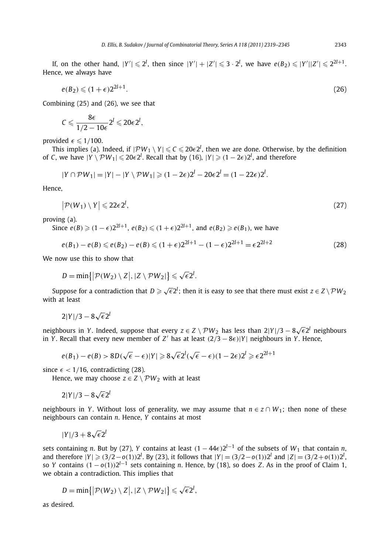If, on the other hand,  $|Y'| \le 2^l$ , then since  $|Y'| + |Z'| \le 3 \cdot 2^l$ , we have  $e(B_2) \le |Y'| |Z'| \le 2^{2l+1}$ . Hence, we always have

$$
e(B_2) \leqslant (1+\epsilon)2^{2l+1}.\tag{26}
$$

Combining (25) and (26), we see that

$$
C\leqslant \frac{8\varepsilon}{1/2-10\varepsilon}2^l\leqslant 20\varepsilon 2^l,
$$

provided  $\epsilon \leqslant 1/100$ .

This implies (a). Indeed, if  $|\mathcal{PW}_1 \setminus Y| \leq C \leq 20\epsilon 2^l$ , then we are done. Otherwise, by the definition of *C*, we have  $|Y \setminus \mathcal{P}W_1| \leq 20\epsilon 2^l$ . Recall that by (16),  $|Y| \geq (1 - 2\epsilon)2^l$ , and therefore

$$
|Y \cap \mathcal{P}W_1| = |Y| - |Y \setminus \mathcal{P}W_1| \geq (1 - 2\epsilon)2^l - 20\epsilon 2^l = (1 - 22\epsilon)2^l.
$$

Hence,

$$
\left| \mathcal{P}(W_1) \setminus Y \right| \leqslant 22\epsilon 2^l, \tag{27}
$$

proving (a).

Since  $e(B) \geqslant (1-\epsilon)2^{2l+1}$ ,  $e(B_2) \leqslant (1+\epsilon)2^{2l+1}$ , and  $e(B_2) \geqslant e(B_1)$ , we have

$$
e(B_1) - e(B) \le e(B_2) - e(B) \le (1 + \epsilon)2^{2l+1} - (1 - \epsilon)2^{2l+1} = \epsilon 2^{2l+2}
$$
\n(28)

We now use this to show that

$$
D=\min\bigl\{|\mathcal{P}(W_2)\setminus Z|,|Z\setminus \mathcal{P}W_2|\bigr\}\leqslant \sqrt{\epsilon}2^l.
$$

Suppose for a contradiction that  $D\geqslant\sqrt{\epsilon}2^l;$  then it is easy to see that there must exist  $z\in Z\setminus\mathcal{PW}_2$ with at least

 $2|Y|/3 - 8\sqrt{\epsilon}2^{l}$ 

neighbours in *<sup>Y</sup>* . Indeed, suppose that every *<sup>z</sup>* ∈ *<sup>Z</sup>* \ P*W*<sup>2</sup> has less than 2|*<sup>Y</sup>* |*/*<sup>3</sup> − <sup>8</sup> <sup>√</sup>2*<sup>l</sup>* neighbours in *Y*. Recall that every new member of *Z'* has at least  $(2/3 - 8\epsilon)|Y|$  neighbours in *Y*. Hence,

$$
e(B_1) - e(B) > 8D(\sqrt{\epsilon} - \epsilon)|Y| \ge 8\sqrt{\epsilon}2^{l}(\sqrt{\epsilon} - \epsilon)(1 - 2\epsilon)2^{l} \ge \epsilon 2^{2l+1}
$$

since  $\epsilon$  < 1/16, contradicting (28).

Hence, we may choose  $z \in Z \setminus \mathcal{P}W_2$  with at least

 $2|Y|/3 - 8\sqrt{\epsilon}2^{l}$ 

neighbours in *Y*. Without loss of generality, we may assume that  $n \in \mathbb{Z} \cap W_1$ ; then none of these neighbours can contain *n*. Hence, *Y* contains at most

$$
|Y|/3 + 8\sqrt{\epsilon}2^l
$$

sets containing *n*. But by (27), *Y* contains at least  $(1 - 44\epsilon)2^{l-1}$  of the subsets of  $W_1$  that contain *n*, and therefore  $|Y| \geqslant (3/2-o(1))2^l$ . By (23), it follows that  $|Y| = (3/2-o(1))2^l$  and  $|Z| = (3/2+o(1))2^l$ , so *Y* contains  $(1 - o(1))2^{l-1}$  sets containing *n*. Hence, by (18), so does *Z*. As in the proof of Claim 1, we obtain a contradiction. This implies that

$$
D = \min\{|\mathcal{P}(W_2) \setminus Z|, |Z \setminus \mathcal{P}W_2|\} \leqslant \sqrt{\epsilon}2^l,
$$

as desired.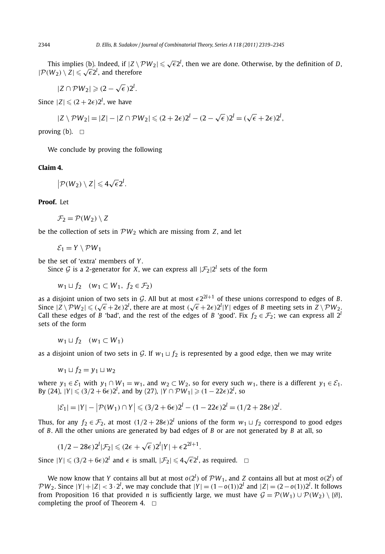This implies (b). Indeed, if  $|Z \setminus \mathcal{PW}_2| \leq \sqrt{\epsilon} 2^l$ , then we are done. Otherwise, by the definition of *D*,  $|P(W_2) \setminus Z| \leq \sqrt{\epsilon} 2^l$ , and therefore

 $|Z \cap \mathcal{P}W_2| \geqslant (2 - \sqrt{\epsilon})2^l$ .

Since  $|Z| \leqslant (2 + 2\epsilon)2^l$ , we have

$$
|Z \setminus \mathcal{P}W_2| = |Z| - |Z \cap \mathcal{P}W_2| \leq (2 + 2\epsilon)2^l - (2 - \sqrt{\epsilon})2^l = (\sqrt{\epsilon} + 2\epsilon)2^l,
$$

proving (b).  $\Box$ 

We conclude by proving the following

### **Claim 4.**

 $\left| \mathcal{P}(W_2) \setminus Z \right| \leqslant 4\sqrt{\epsilon}2^l.$ 

#### **Proof.** Let

$$
\mathcal{F}_2 = \mathcal{P}(W_2) \setminus Z
$$

be the collection of sets in  $PW_2$  which are missing from  $Z$ , and let

 $\mathcal{E}_1 = Y \setminus \mathcal{P}W_1$ 

be the set of 'extra' members of *Y* .

Since G is a 2-generator for X, we can express all  $|\mathcal{F}_2|2^l$  sets of the form

*w*<sub>1</sub>  $\sqcup$  *f*<sub>2</sub> *(w*<sub>1</sub> ⊂ *W*<sub>1</sub>*, f*<sub>2</sub> ∈ *F*<sub>2</sub>*)* 

as a disjoint union of two sets in G. All but at most  $\epsilon 2^{2l+1}$  of these unions correspond to edges of B. Since  $|Z \setminus \mathcal{P}W_2| \le (\sqrt{\epsilon} + 2\epsilon)2^l$ , there are at most  $(\sqrt{\epsilon} + 2\epsilon)2^l |Y|$  edges of *B* meeting sets in  $Z \setminus \mathcal{P}W_2$ . Call these edges of *B* 'bad', and the rest of the edges of *B* 'good'. Fix  $f_2 \in \mathcal{F}_2$ ; we can express all  $2^l$ sets of the form

$$
w_1 \sqcup f_2 \quad (w_1 \subset W_1)
$$

as a disjoint union of two sets in G. If  $w_1 \sqcup f_2$  is represented by a good edge, then we may write

$$
w_1 \sqcup f_2 = y_1 \sqcup w_2
$$

where  $y_1 \in \mathcal{E}_1$  with  $y_1 \cap W_1 = w_1$ , and  $w_2 \subset W_2$ , so for every such  $w_1$ , there is a different  $y_1 \in \mathcal{E}_1$ .  $By$  (24),  $|Y| \le (3/2 + 6\epsilon)2^l$ , and by (27),  $|Y \cap \mathcal{P}W_1| \ge (1 - 22\epsilon)2^l$ , so

$$
|\mathcal{E}_1| = |Y| - |\mathcal{P}(W_1) \cap Y| \leq (3/2 + 6\epsilon)2^l - (1 - 22\epsilon)2^l = (1/2 + 28\epsilon)2^l.
$$

Thus, for any  $f_2 \in \mathcal{F}_2$ , at most  $(1/2 + 28\epsilon)2^l$  unions of the form  $w_1 \sqcup f_2$  correspond to good edges of *B*. All the other unions are generated by bad edges of *B* or are not generated by *B* at all, so

 $(1/2 - 28\epsilon)2^{l}|\mathcal{F}_{2}| \leq (2\epsilon + \sqrt{\epsilon})2^{l}|Y| + \epsilon 2^{2l+1}.$ 

Since  $|Y| \leqslant (3/2 + 6\epsilon)2^l$  and  $\epsilon$  is small,  $|\mathcal{F}_2| \leqslant 4\sqrt{\epsilon}2^l$ , as required.  $\Box$ 

We now know that *Y* contains all but at most  $o(2^l)$  of  $PW_1$ , and *Z* contains all but at most  $o(2^l)$  of *PW*<sub>2</sub>. Since  $|Y| + |Z| < 3 \cdot 2^l$ , we may conclude that  $|Y| = (1 - o(1))2^l$  and  $|Z| = (2 - o(1))2^l$ . It follows from Proposition 16 that provided *n* is sufficiently large, we must have  $G = \mathcal{P}(W_1) \cup \mathcal{P}(W_2) \setminus \{\emptyset\},\$ completing the proof of Theorem 4.  $\Box$